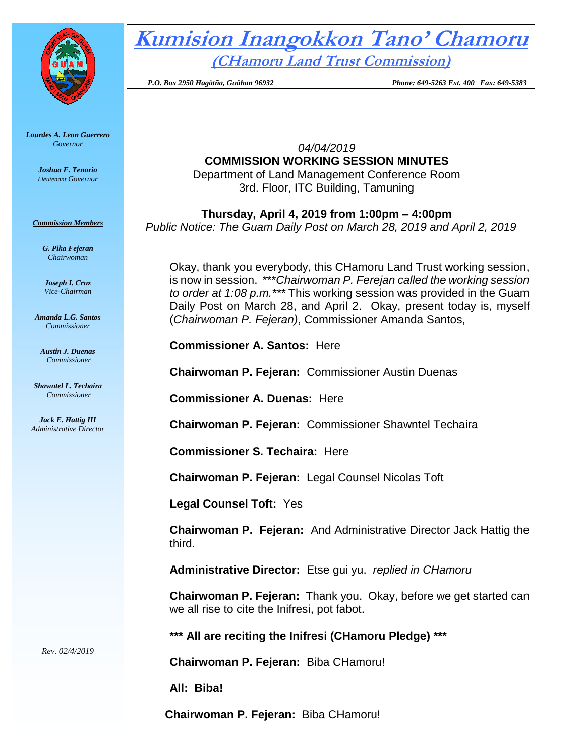

*Lourdes A. Leon Guerrero Governor* 

> *Joshua F. Tenorio Lieutenant Governor*

*Commission Members*

*G. Pika Fejeran Chairwoman*

*Joseph I. Cruz Vice-Chairman*

*Amanda L.G. Santos Commissioner*

*Austin J. Duenas Commissioner*

*Shawntel L. Techaira Commissioner*

*Jack E. Hattig III Administrative Director*

*Rev. 02/4/2019*

**Kumision Inangokkon Tano' Chamoru (CHamoru Land Trust Commission)**

 *P.O. Box 2950 Hagåtña, Guåhan 96932 Phone: 649-5263 Ext. 400 Fax: 649-5383*

*04/04/2019* **COMMISSION WORKING SESSION MINUTES** Department of Land Management Conference Room 3rd. Floor, ITC Building, Tamuning

**Thursday, April 4, 2019 from 1:00pm – 4:00pm** *Public Notice: The Guam Daily Post on March 28, 2019 and April 2, 2019*

Okay, thank you everybody, this CHamoru Land Trust working session, is now in session. \*\*\**Chairwoman P. Ferejan called the working session to order at 1:08 p.m.\*\*\** This working session was provided in the Guam Daily Post on March 28, and April 2. Okay, present today is, myself (*Chairwoman P. Fejeran)*, Commissioner Amanda Santos,

**Commissioner A. Santos:** Here

**Chairwoman P. Fejeran:** Commissioner Austin Duenas

**Commissioner A. Duenas:** Here

**Chairwoman P. Fejeran:** Commissioner Shawntel Techaira

**Commissioner S. Techaira:** Here

**Chairwoman P. Fejeran:** Legal Counsel Nicolas Toft

**Legal Counsel Toft:** Yes

**Chairwoman P. Fejeran:** And Administrative Director Jack Hattig the third.

**Administrative Director:** Etse gui yu. *replied in CHamoru*

**Chairwoman P. Fejeran:** Thank you. Okay, before we get started can we all rise to cite the Inifresi, pot fabot.

**\*\*\* All are reciting the Inifresi (CHamoru Pledge) \*\*\***

**Chairwoman P. Fejeran:** Biba CHamoru!

**All: Biba!**

**Chairwoman P. Fejeran:** Biba CHamoru!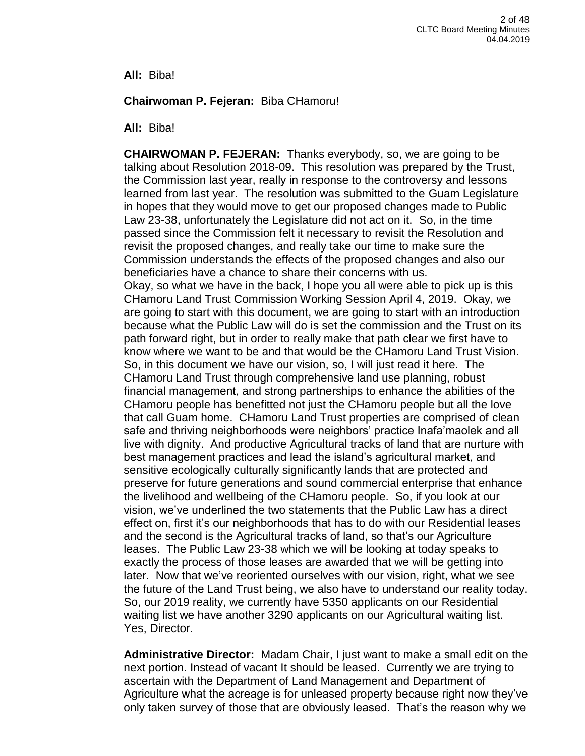**All:** Biba!

### **Chairwoman P. Fejeran:** Biba CHamoru!

**All:** Biba!

**CHAIRWOMAN P. FEJERAN:** Thanks everybody, so, we are going to be talking about Resolution 2018-09. This resolution was prepared by the Trust, the Commission last year, really in response to the controversy and lessons learned from last year. The resolution was submitted to the Guam Legislature in hopes that they would move to get our proposed changes made to Public Law 23-38, unfortunately the Legislature did not act on it. So, in the time passed since the Commission felt it necessary to revisit the Resolution and revisit the proposed changes, and really take our time to make sure the Commission understands the effects of the proposed changes and also our beneficiaries have a chance to share their concerns with us. Okay, so what we have in the back, I hope you all were able to pick up is this CHamoru Land Trust Commission Working Session April 4, 2019. Okay, we are going to start with this document, we are going to start with an introduction because what the Public Law will do is set the commission and the Trust on its path forward right, but in order to really make that path clear we first have to know where we want to be and that would be the CHamoru Land Trust Vision. So, in this document we have our vision, so, I will just read it here. The CHamoru Land Trust through comprehensive land use planning, robust financial management, and strong partnerships to enhance the abilities of the CHamoru people has benefitted not just the CHamoru people but all the love that call Guam home. CHamoru Land Trust properties are comprised of clean safe and thriving neighborhoods were neighbors' practice Inafa'maolek and all live with dignity. And productive Agricultural tracks of land that are nurture with best management practices and lead the island's agricultural market, and sensitive ecologically culturally significantly lands that are protected and preserve for future generations and sound commercial enterprise that enhance the livelihood and wellbeing of the CHamoru people. So, if you look at our vision, we've underlined the two statements that the Public Law has a direct effect on, first it's our neighborhoods that has to do with our Residential leases and the second is the Agricultural tracks of land, so that's our Agriculture leases. The Public Law 23-38 which we will be looking at today speaks to exactly the process of those leases are awarded that we will be getting into later. Now that we've reoriented ourselves with our vision, right, what we see the future of the Land Trust being, we also have to understand our reality today. So, our 2019 reality, we currently have 5350 applicants on our Residential waiting list we have another 3290 applicants on our Agricultural waiting list. Yes, Director.

**Administrative Director:** Madam Chair, I just want to make a small edit on the next portion. Instead of vacant It should be leased. Currently we are trying to ascertain with the Department of Land Management and Department of Agriculture what the acreage is for unleased property because right now they've only taken survey of those that are obviously leased. That's the reason why we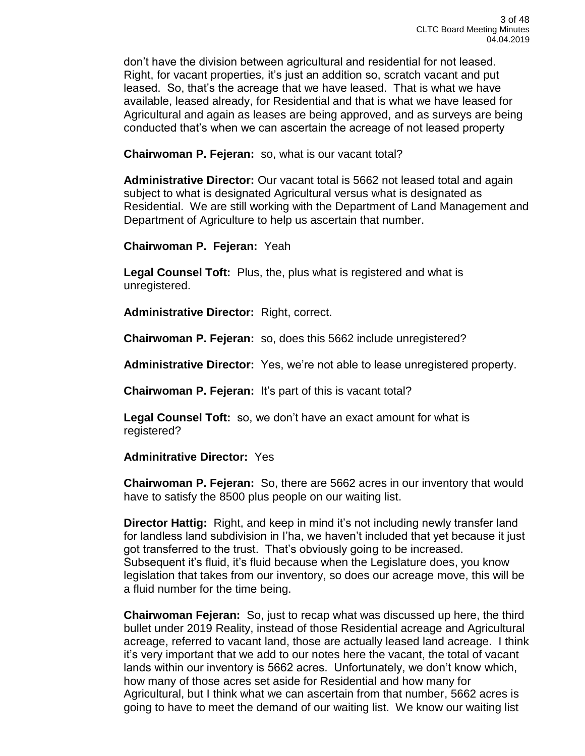don't have the division between agricultural and residential for not leased. Right, for vacant properties, it's just an addition so, scratch vacant and put leased. So, that's the acreage that we have leased. That is what we have available, leased already, for Residential and that is what we have leased for Agricultural and again as leases are being approved, and as surveys are being conducted that's when we can ascertain the acreage of not leased property

**Chairwoman P. Fejeran:** so, what is our vacant total?

**Administrative Director:** Our vacant total is 5662 not leased total and again subject to what is designated Agricultural versus what is designated as Residential. We are still working with the Department of Land Management and Department of Agriculture to help us ascertain that number.

**Chairwoman P. Fejeran:** Yeah

**Legal Counsel Toft:** Plus, the, plus what is registered and what is unregistered.

**Administrative Director:** Right, correct.

**Chairwoman P. Fejeran:** so, does this 5662 include unregistered?

**Administrative Director:** Yes, we're not able to lease unregistered property.

**Chairwoman P. Fejeran:** It's part of this is vacant total?

**Legal Counsel Toft:** so, we don't have an exact amount for what is registered?

**Adminitrative Director:** Yes

**Chairwoman P. Fejeran:** So, there are 5662 acres in our inventory that would have to satisfy the 8500 plus people on our waiting list.

**Director Hattig:** Right, and keep in mind it's not including newly transfer land for landless land subdivision in I'ha, we haven't included that yet because it just got transferred to the trust. That's obviously going to be increased. Subsequent it's fluid, it's fluid because when the Legislature does, you know legislation that takes from our inventory, so does our acreage move, this will be a fluid number for the time being.

**Chairwoman Fejeran:** So, just to recap what was discussed up here, the third bullet under 2019 Reality, instead of those Residential acreage and Agricultural acreage, referred to vacant land, those are actually leased land acreage. I think it's very important that we add to our notes here the vacant, the total of vacant lands within our inventory is 5662 acres. Unfortunately, we don't know which, how many of those acres set aside for Residential and how many for Agricultural, but I think what we can ascertain from that number, 5662 acres is going to have to meet the demand of our waiting list. We know our waiting list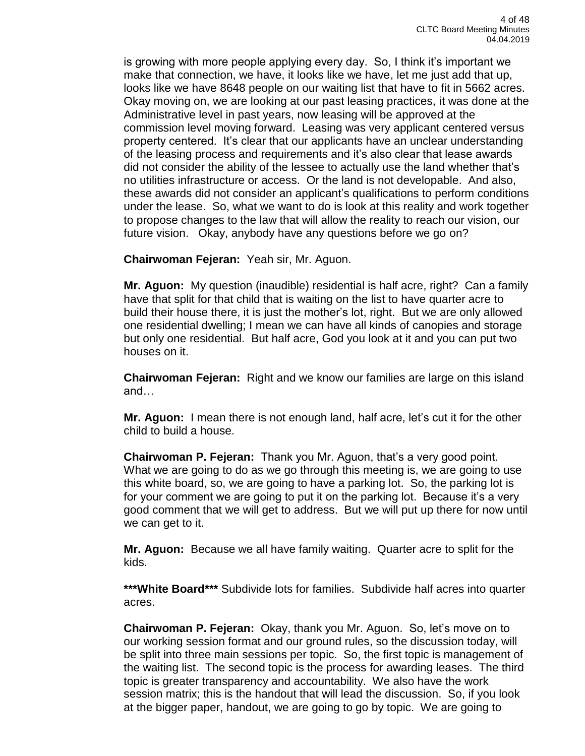is growing with more people applying every day. So, I think it's important we make that connection, we have, it looks like we have, let me just add that up, looks like we have 8648 people on our waiting list that have to fit in 5662 acres. Okay moving on, we are looking at our past leasing practices, it was done at the Administrative level in past years, now leasing will be approved at the commission level moving forward. Leasing was very applicant centered versus property centered. It's clear that our applicants have an unclear understanding of the leasing process and requirements and it's also clear that lease awards did not consider the ability of the lessee to actually use the land whether that's no utilities infrastructure or access. Or the land is not developable. And also, these awards did not consider an applicant's qualifications to perform conditions under the lease. So, what we want to do is look at this reality and work together to propose changes to the law that will allow the reality to reach our vision, our future vision. Okay, anybody have any questions before we go on?

**Chairwoman Fejeran:** Yeah sir, Mr. Aguon.

**Mr. Aguon:** My question (inaudible) residential is half acre, right? Can a family have that split for that child that is waiting on the list to have quarter acre to build their house there, it is just the mother's lot, right. But we are only allowed one residential dwelling; I mean we can have all kinds of canopies and storage but only one residential. But half acre, God you look at it and you can put two houses on it.

**Chairwoman Fejeran:** Right and we know our families are large on this island and…

**Mr. Aguon:** I mean there is not enough land, half acre, let's cut it for the other child to build a house.

**Chairwoman P. Fejeran:** Thank you Mr. Aguon, that's a very good point. What we are going to do as we go through this meeting is, we are going to use this white board, so, we are going to have a parking lot. So, the parking lot is for your comment we are going to put it on the parking lot. Because it's a very good comment that we will get to address. But we will put up there for now until we can get to it.

**Mr. Aguon:** Because we all have family waiting. Quarter acre to split for the kids.

**\*\*\*White Board\*\*\*** Subdivide lots for families. Subdivide half acres into quarter acres.

**Chairwoman P. Fejeran:** Okay, thank you Mr. Aguon. So, let's move on to our working session format and our ground rules, so the discussion today, will be split into three main sessions per topic. So, the first topic is management of the waiting list. The second topic is the process for awarding leases. The third topic is greater transparency and accountability. We also have the work session matrix; this is the handout that will lead the discussion. So, if you look at the bigger paper, handout, we are going to go by topic. We are going to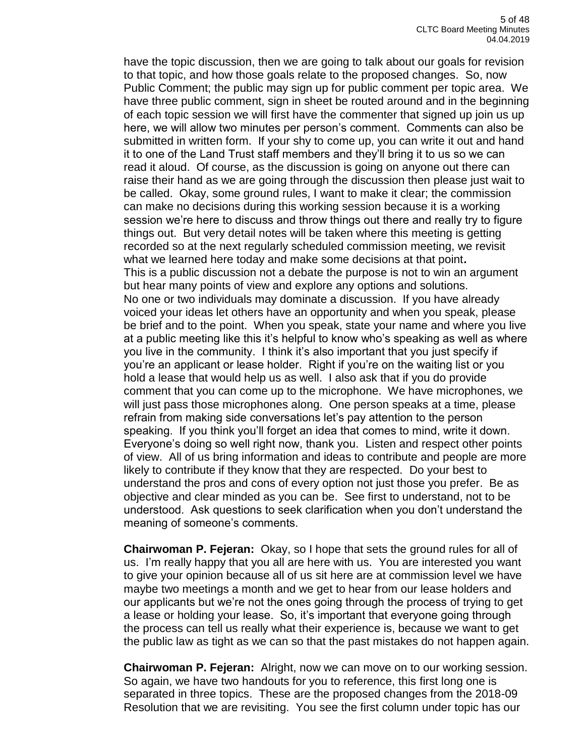have the topic discussion, then we are going to talk about our goals for revision to that topic, and how those goals relate to the proposed changes. So, now Public Comment; the public may sign up for public comment per topic area. We have three public comment, sign in sheet be routed around and in the beginning of each topic session we will first have the commenter that signed up join us up here, we will allow two minutes per person's comment. Comments can also be submitted in written form. If your shy to come up, you can write it out and hand it to one of the Land Trust staff members and they'll bring it to us so we can read it aloud. Of course, as the discussion is going on anyone out there can raise their hand as we are going through the discussion then please just wait to be called. Okay, some ground rules, I want to make it clear; the commission can make no decisions during this working session because it is a working session we're here to discuss and throw things out there and really try to figure things out. But very detail notes will be taken where this meeting is getting recorded so at the next regularly scheduled commission meeting, we revisit what we learned here today and make some decisions at that point**.** This is a public discussion not a debate the purpose is not to win an argument but hear many points of view and explore any options and solutions. No one or two individuals may dominate a discussion. If you have already voiced your ideas let others have an opportunity and when you speak, please be brief and to the point. When you speak, state your name and where you live at a public meeting like this it's helpful to know who's speaking as well as where you live in the community. I think it's also important that you just specify if you're an applicant or lease holder. Right if you're on the waiting list or you hold a lease that would help us as well. I also ask that if you do provide comment that you can come up to the microphone. We have microphones, we will just pass those microphones along. One person speaks at a time, please refrain from making side conversations let's pay attention to the person speaking. If you think you'll forget an idea that comes to mind, write it down. Everyone's doing so well right now, thank you. Listen and respect other points of view. All of us bring information and ideas to contribute and people are more likely to contribute if they know that they are respected. Do your best to understand the pros and cons of every option not just those you prefer. Be as objective and clear minded as you can be. See first to understand, not to be understood. Ask questions to seek clarification when you don't understand the meaning of someone's comments.

**Chairwoman P. Fejeran:** Okay, so I hope that sets the ground rules for all of us. I'm really happy that you all are here with us. You are interested you want to give your opinion because all of us sit here are at commission level we have maybe two meetings a month and we get to hear from our lease holders and our applicants but we're not the ones going through the process of trying to get a lease or holding your lease. So, it's important that everyone going through the process can tell us really what their experience is, because we want to get the public law as tight as we can so that the past mistakes do not happen again.

**Chairwoman P. Fejeran:** Alright, now we can move on to our working session. So again, we have two handouts for you to reference, this first long one is separated in three topics. These are the proposed changes from the 2018-09 Resolution that we are revisiting. You see the first column under topic has our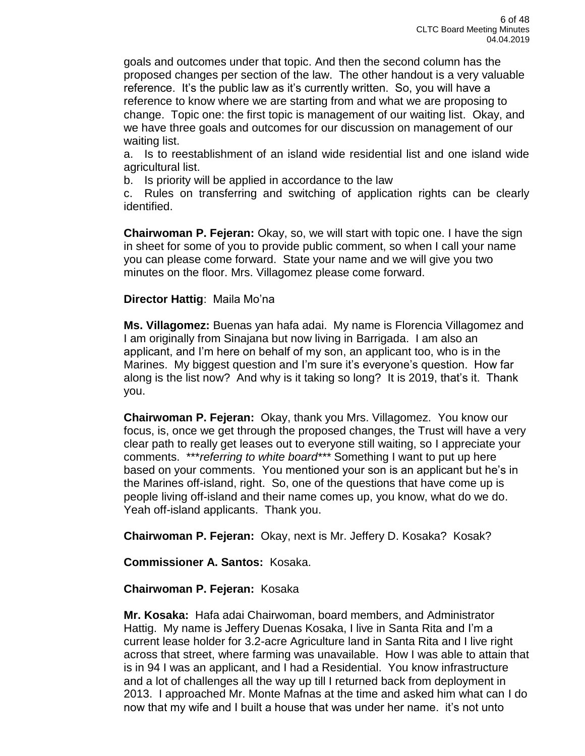goals and outcomes under that topic. And then the second column has the proposed changes per section of the law. The other handout is a very valuable reference. It's the public law as it's currently written. So, you will have a reference to know where we are starting from and what we are proposing to change. Topic one: the first topic is management of our waiting list. Okay, and we have three goals and outcomes for our discussion on management of our waiting list.

a. Is to reestablishment of an island wide residential list and one island wide agricultural list.

b. Is priority will be applied in accordance to the law

c. Rules on transferring and switching of application rights can be clearly identified.

**Chairwoman P. Fejeran:** Okay, so, we will start with topic one. I have the sign in sheet for some of you to provide public comment, so when I call your name you can please come forward. State your name and we will give you two minutes on the floor. Mrs. Villagomez please come forward.

# **Director Hattig**: Maila Mo'na

**Ms. Villagomez:** Buenas yan hafa adai. My name is Florencia Villagomez and I am originally from Sinajana but now living in Barrigada. I am also an applicant, and I'm here on behalf of my son, an applicant too, who is in the Marines. My biggest question and I'm sure it's everyone's question. How far along is the list now? And why is it taking so long? It is 2019, that's it. Thank you.

**Chairwoman P. Fejeran:** Okay, thank you Mrs. Villagomez. You know our focus, is, once we get through the proposed changes, the Trust will have a very clear path to really get leases out to everyone still waiting, so I appreciate your comments. \*\*\**referring to white board\*\*\** Something I want to put up here based on your comments. You mentioned your son is an applicant but he's in the Marines off-island, right. So, one of the questions that have come up is people living off-island and their name comes up, you know, what do we do. Yeah off-island applicants. Thank you.

**Chairwoman P. Fejeran:** Okay, next is Mr. Jeffery D. Kosaka? Kosak?

**Commissioner A. Santos:** Kosaka.

**Chairwoman P. Fejeran:** Kosaka

**Mr. Kosaka:** Hafa adai Chairwoman, board members, and Administrator Hattig. My name is Jeffery Duenas Kosaka, I live in Santa Rita and I'm a current lease holder for 3.2-acre Agriculture land in Santa Rita and I live right across that street, where farming was unavailable. How I was able to attain that is in 94 I was an applicant, and I had a Residential. You know infrastructure and a lot of challenges all the way up till I returned back from deployment in 2013. I approached Mr. Monte Mafnas at the time and asked him what can I do now that my wife and I built a house that was under her name. it's not unto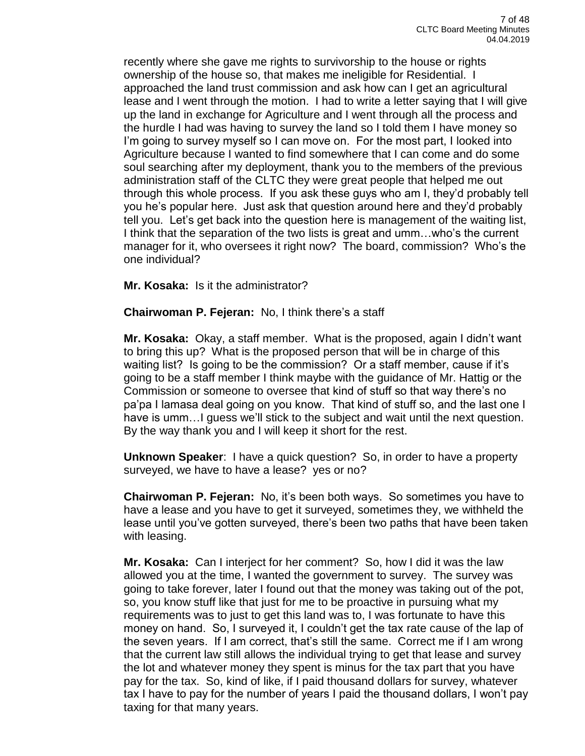recently where she gave me rights to survivorship to the house or rights ownership of the house so, that makes me ineligible for Residential. I approached the land trust commission and ask how can I get an agricultural lease and I went through the motion. I had to write a letter saying that I will give up the land in exchange for Agriculture and I went through all the process and the hurdle I had was having to survey the land so I told them I have money so I'm going to survey myself so I can move on. For the most part, I looked into Agriculture because I wanted to find somewhere that I can come and do some soul searching after my deployment, thank you to the members of the previous administration staff of the CLTC they were great people that helped me out through this whole process. If you ask these guys who am I, they'd probably tell you he's popular here. Just ask that question around here and they'd probably tell you. Let's get back into the question here is management of the waiting list, I think that the separation of the two lists is great and umm…who's the current manager for it, who oversees it right now? The board, commission? Who's the one individual?

**Mr. Kosaka:** Is it the administrator?

**Chairwoman P. Fejeran:** No, I think there's a staff

**Mr. Kosaka:** Okay, a staff member. What is the proposed, again I didn't want to bring this up? What is the proposed person that will be in charge of this waiting list? Is going to be the commission? Or a staff member, cause if it's going to be a staff member I think maybe with the guidance of Mr. Hattig or the Commission or someone to oversee that kind of stuff so that way there's no pa'pa I lamasa deal going on you know. That kind of stuff so, and the last one I have is umm... I guess we'll stick to the subject and wait until the next question. By the way thank you and I will keep it short for the rest.

**Unknown Speaker**: I have a quick question? So, in order to have a property surveyed, we have to have a lease? yes or no?

**Chairwoman P. Fejeran:** No, it's been both ways. So sometimes you have to have a lease and you have to get it surveyed, sometimes they, we withheld the lease until you've gotten surveyed, there's been two paths that have been taken with leasing.

**Mr. Kosaka:** Can I interject for her comment? So, how I did it was the law allowed you at the time, I wanted the government to survey. The survey was going to take forever, later I found out that the money was taking out of the pot, so, you know stuff like that just for me to be proactive in pursuing what my requirements was to just to get this land was to, I was fortunate to have this money on hand. So, I surveyed it, I couldn't get the tax rate cause of the lap of the seven years. If I am correct, that's still the same. Correct me if I am wrong that the current law still allows the individual trying to get that lease and survey the lot and whatever money they spent is minus for the tax part that you have pay for the tax. So, kind of like, if I paid thousand dollars for survey, whatever tax I have to pay for the number of years I paid the thousand dollars, I won't pay taxing for that many years.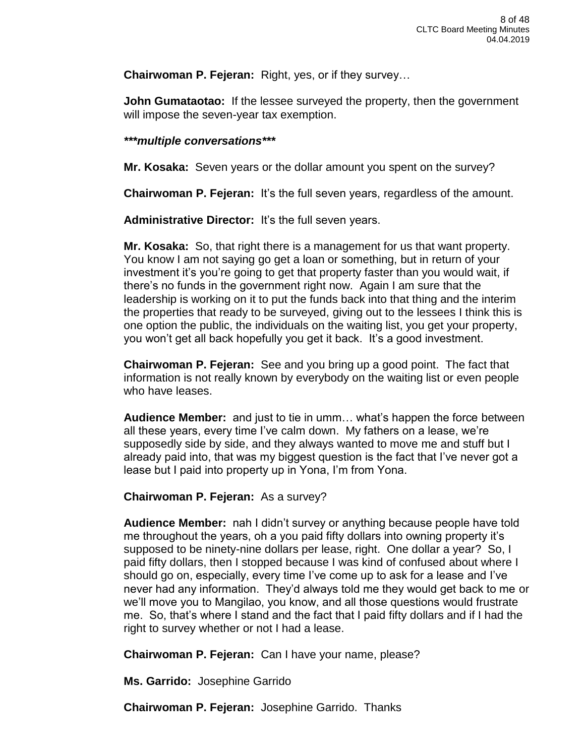**Chairwoman P. Fejeran:** Right, yes, or if they survey…

**John Gumataotao:** If the lessee surveyed the property, then the government will impose the seven-year tax exemption.

### *\*\*\*multiple conversations\*\*\**

**Mr. Kosaka:** Seven years or the dollar amount you spent on the survey?

**Chairwoman P. Fejeran:** It's the full seven years, regardless of the amount.

**Administrative Director:** It's the full seven years.

**Mr. Kosaka:** So, that right there is a management for us that want property. You know I am not saying go get a loan or something, but in return of your investment it's you're going to get that property faster than you would wait, if there's no funds in the government right now. Again I am sure that the leadership is working on it to put the funds back into that thing and the interim the properties that ready to be surveyed, giving out to the lessees I think this is one option the public, the individuals on the waiting list, you get your property, you won't get all back hopefully you get it back. It's a good investment.

**Chairwoman P. Fejeran:** See and you bring up a good point. The fact that information is not really known by everybody on the waiting list or even people who have leases.

**Audience Member:** and just to tie in umm… what's happen the force between all these years, every time I've calm down. My fathers on a lease, we're supposedly side by side, and they always wanted to move me and stuff but I already paid into, that was my biggest question is the fact that I've never got a lease but I paid into property up in Yona, I'm from Yona.

## **Chairwoman P. Fejeran:** As a survey?

**Audience Member:** nah I didn't survey or anything because people have told me throughout the years, oh a you paid fifty dollars into owning property it's supposed to be ninety-nine dollars per lease, right. One dollar a year? So, I paid fifty dollars, then I stopped because I was kind of confused about where I should go on, especially, every time I've come up to ask for a lease and I've never had any information. They'd always told me they would get back to me or we'll move you to Mangilao, you know, and all those questions would frustrate me. So, that's where I stand and the fact that I paid fifty dollars and if I had the right to survey whether or not I had a lease.

**Chairwoman P. Fejeran:** Can I have your name, please?

**Ms. Garrido:** Josephine Garrido

**Chairwoman P. Fejeran:** Josephine Garrido. Thanks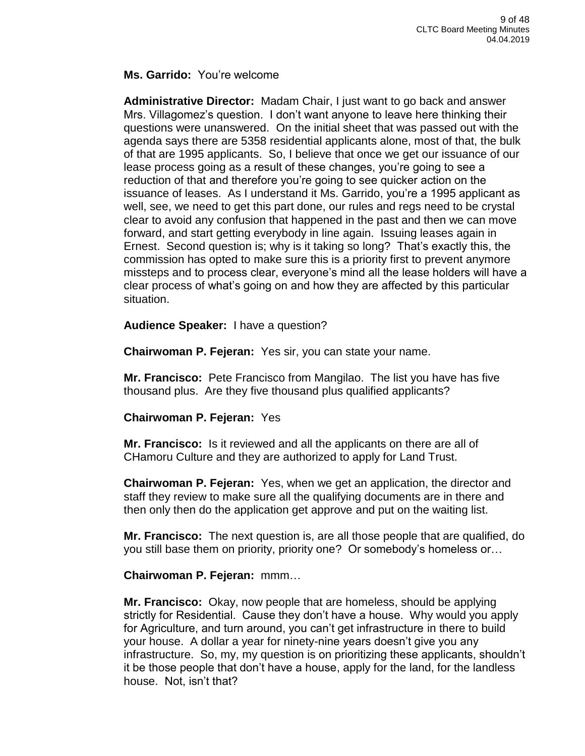### **Ms. Garrido:** You're welcome

**Administrative Director:** Madam Chair, I just want to go back and answer Mrs. Villagomez's question. I don't want anyone to leave here thinking their questions were unanswered. On the initial sheet that was passed out with the agenda says there are 5358 residential applicants alone, most of that, the bulk of that are 1995 applicants. So, I believe that once we get our issuance of our lease process going as a result of these changes, you're going to see a reduction of that and therefore you're going to see quicker action on the issuance of leases. As I understand it Ms. Garrido, you're a 1995 applicant as well, see, we need to get this part done, our rules and regs need to be crystal clear to avoid any confusion that happened in the past and then we can move forward, and start getting everybody in line again. Issuing leases again in Ernest. Second question is; why is it taking so long? That's exactly this, the commission has opted to make sure this is a priority first to prevent anymore missteps and to process clear, everyone's mind all the lease holders will have a clear process of what's going on and how they are affected by this particular situation.

**Audience Speaker:** I have a question?

**Chairwoman P. Fejeran:** Yes sir, you can state your name.

**Mr. Francisco:** Pete Francisco from Mangilao. The list you have has five thousand plus. Are they five thousand plus qualified applicants?

**Chairwoman P. Fejeran:** Yes

**Mr. Francisco:** Is it reviewed and all the applicants on there are all of CHamoru Culture and they are authorized to apply for Land Trust.

**Chairwoman P. Fejeran:** Yes, when we get an application, the director and staff they review to make sure all the qualifying documents are in there and then only then do the application get approve and put on the waiting list.

**Mr. Francisco:** The next question is, are all those people that are qualified, do you still base them on priority, priority one? Or somebody's homeless or…

## **Chairwoman P. Fejeran:** mmm…

**Mr. Francisco:** Okay, now people that are homeless, should be applying strictly for Residential. Cause they don't have a house. Why would you apply for Agriculture, and turn around, you can't get infrastructure in there to build your house. A dollar a year for ninety-nine years doesn't give you any infrastructure. So, my, my question is on prioritizing these applicants, shouldn't it be those people that don't have a house, apply for the land, for the landless house. Not, isn't that?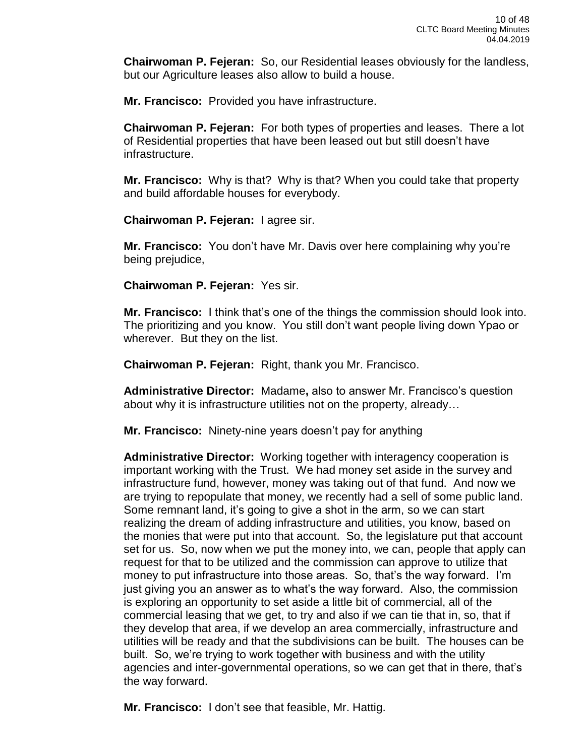**Chairwoman P. Fejeran:** So, our Residential leases obviously for the landless, but our Agriculture leases also allow to build a house.

**Mr. Francisco:** Provided you have infrastructure.

**Chairwoman P. Fejeran:** For both types of properties and leases. There a lot of Residential properties that have been leased out but still doesn't have infrastructure.

**Mr. Francisco:** Why is that? Why is that? When you could take that property and build affordable houses for everybody.

**Chairwoman P. Fejeran:** I agree sir.

**Mr. Francisco:** You don't have Mr. Davis over here complaining why you're being prejudice,

**Chairwoman P. Fejeran:** Yes sir.

**Mr. Francisco:** I think that's one of the things the commission should look into. The prioritizing and you know. You still don't want people living down Ypao or wherever. But they on the list.

**Chairwoman P. Fejeran:** Right, thank you Mr. Francisco.

**Administrative Director:** Madame**,** also to answer Mr. Francisco's question about why it is infrastructure utilities not on the property, already…

**Mr. Francisco:** Ninety-nine years doesn't pay for anything

**Administrative Director:** Working together with interagency cooperation is important working with the Trust. We had money set aside in the survey and infrastructure fund, however, money was taking out of that fund. And now we are trying to repopulate that money, we recently had a sell of some public land. Some remnant land, it's going to give a shot in the arm, so we can start realizing the dream of adding infrastructure and utilities, you know, based on the monies that were put into that account. So, the legislature put that account set for us. So, now when we put the money into, we can, people that apply can request for that to be utilized and the commission can approve to utilize that money to put infrastructure into those areas. So, that's the way forward. I'm just giving you an answer as to what's the way forward. Also, the commission is exploring an opportunity to set aside a little bit of commercial, all of the commercial leasing that we get, to try and also if we can tie that in, so, that if they develop that area, if we develop an area commercially, infrastructure and utilities will be ready and that the subdivisions can be built. The houses can be built. So, we're trying to work together with business and with the utility agencies and inter-governmental operations, so we can get that in there, that's the way forward.

**Mr. Francisco:** I don't see that feasible, Mr. Hattig.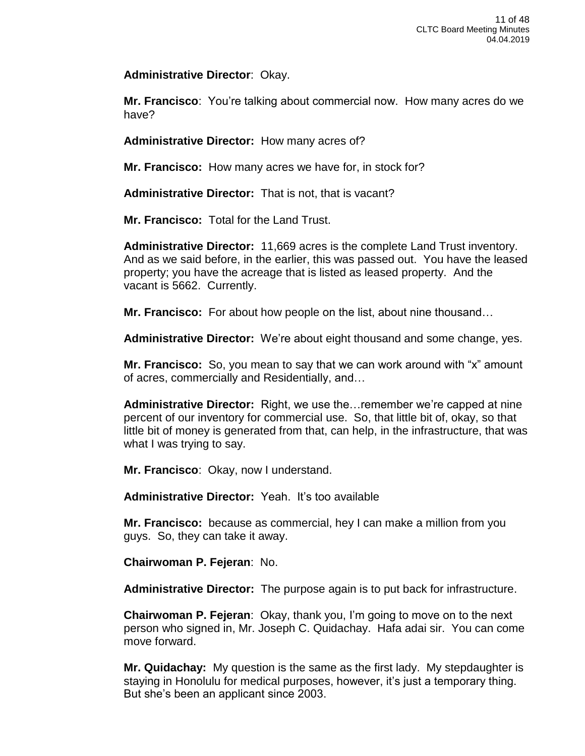**Administrative Director**: Okay.

**Mr. Francisco**: You're talking about commercial now. How many acres do we have?

**Administrative Director:** How many acres of?

**Mr. Francisco:** How many acres we have for, in stock for?

**Administrative Director:** That is not, that is vacant?

**Mr. Francisco:** Total for the Land Trust.

**Administrative Director:** 11,669 acres is the complete Land Trust inventory. And as we said before, in the earlier, this was passed out. You have the leased property; you have the acreage that is listed as leased property. And the vacant is 5662. Currently.

**Mr. Francisco:** For about how people on the list, about nine thousand…

**Administrative Director:** We're about eight thousand and some change, yes.

**Mr. Francisco:** So, you mean to say that we can work around with "x" amount of acres, commercially and Residentially, and…

**Administrative Director:** Right, we use the…remember we're capped at nine percent of our inventory for commercial use. So, that little bit of, okay, so that little bit of money is generated from that, can help, in the infrastructure, that was what I was trying to say.

**Mr. Francisco**: Okay, now I understand.

**Administrative Director:** Yeah. It's too available

**Mr. Francisco:** because as commercial, hey I can make a million from you guys. So, they can take it away.

**Chairwoman P. Fejeran**: No.

**Administrative Director:** The purpose again is to put back for infrastructure.

**Chairwoman P. Fejeran**: Okay, thank you, I'm going to move on to the next person who signed in, Mr. Joseph C. Quidachay. Hafa adai sir. You can come move forward.

**Mr. Quidachay:** My question is the same as the first lady. My stepdaughter is staying in Honolulu for medical purposes, however, it's just a temporary thing. But she's been an applicant since 2003.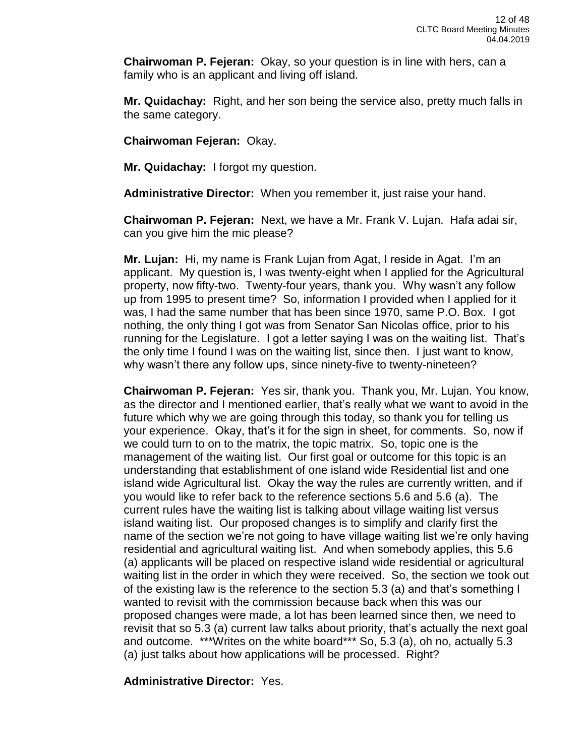**Chairwoman P. Fejeran:** Okay, so your question is in line with hers, can a family who is an applicant and living off island.

**Mr. Quidachay:** Right, and her son being the service also, pretty much falls in the same category.

**Chairwoman Fejeran:** Okay.

**Mr. Quidachay:** I forgot my question.

**Administrative Director:** When you remember it, just raise your hand.

**Chairwoman P. Fejeran:** Next, we have a Mr. Frank V. Lujan. Hafa adai sir, can you give him the mic please?

**Mr. Lujan:** Hi, my name is Frank Lujan from Agat, I reside in Agat. I'm an applicant. My question is, I was twenty-eight when I applied for the Agricultural property, now fifty-two. Twenty-four years, thank you. Why wasn't any follow up from 1995 to present time? So, information I provided when I applied for it was, I had the same number that has been since 1970, same P.O. Box. I got nothing, the only thing I got was from Senator San Nicolas office, prior to his running for the Legislature. I got a letter saying I was on the waiting list. That's the only time I found I was on the waiting list, since then. I just want to know, why wasn't there any follow ups, since ninety-five to twenty-nineteen?

**Chairwoman P. Fejeran:** Yes sir, thank you. Thank you, Mr. Lujan. You know, as the director and I mentioned earlier, that's really what we want to avoid in the future which why we are going through this today, so thank you for telling us your experience. Okay, that's it for the sign in sheet, for comments. So, now if we could turn to on to the matrix, the topic matrix. So, topic one is the management of the waiting list. Our first goal or outcome for this topic is an understanding that establishment of one island wide Residential list and one island wide Agricultural list. Okay the way the rules are currently written, and if you would like to refer back to the reference sections 5.6 and 5.6 (a). The current rules have the waiting list is talking about village waiting list versus island waiting list. Our proposed changes is to simplify and clarify first the name of the section we're not going to have village waiting list we're only having residential and agricultural waiting list. And when somebody applies, this 5.6 (a) applicants will be placed on respective island wide residential or agricultural waiting list in the order in which they were received. So, the section we took out of the existing law is the reference to the section 5.3 (a) and that's something I wanted to revisit with the commission because back when this was our proposed changes were made, a lot has been learned since then, we need to revisit that so 5.3 (a) current law talks about priority, that's actually the next goal and outcome. \*\*\*Writes on the white board\*\*\* So, 5.3 (a), oh no, actually 5.3 (a) just talks about how applications will be processed. Right?

**Administrative Director:** Yes.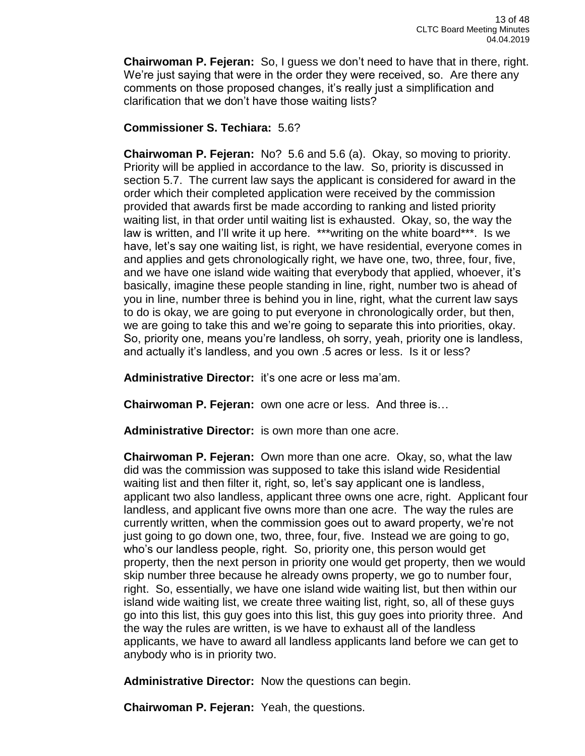**Chairwoman P. Fejeran:** So, I guess we don't need to have that in there, right. We're just saying that were in the order they were received, so. Are there any comments on those proposed changes, it's really just a simplification and clarification that we don't have those waiting lists?

# **Commissioner S. Techiara:** 5.6?

**Chairwoman P. Fejeran:** No? 5.6 and 5.6 (a). Okay, so moving to priority. Priority will be applied in accordance to the law. So, priority is discussed in section 5.7. The current law says the applicant is considered for award in the order which their completed application were received by the commission provided that awards first be made according to ranking and listed priority waiting list, in that order until waiting list is exhausted. Okay, so, the way the law is written, and I'll write it up here. \*\*\*writing on the white board\*\*\*. Is we have, let's say one waiting list, is right, we have residential, everyone comes in and applies and gets chronologically right, we have one, two, three, four, five, and we have one island wide waiting that everybody that applied, whoever, it's basically, imagine these people standing in line, right, number two is ahead of you in line, number three is behind you in line, right, what the current law says to do is okay, we are going to put everyone in chronologically order, but then, we are going to take this and we're going to separate this into priorities, okay. So, priority one, means you're landless, oh sorry, yeah, priority one is landless, and actually it's landless, and you own .5 acres or less. Is it or less?

**Administrative Director:** it's one acre or less ma'am.

**Chairwoman P. Fejeran:** own one acre or less. And three is…

**Administrative Director:** is own more than one acre.

**Chairwoman P. Fejeran:** Own more than one acre. Okay, so, what the law did was the commission was supposed to take this island wide Residential waiting list and then filter it, right, so, let's say applicant one is landless, applicant two also landless, applicant three owns one acre, right. Applicant four landless, and applicant five owns more than one acre. The way the rules are currently written, when the commission goes out to award property, we're not just going to go down one, two, three, four, five. Instead we are going to go, who's our landless people, right. So, priority one, this person would get property, then the next person in priority one would get property, then we would skip number three because he already owns property, we go to number four, right. So, essentially, we have one island wide waiting list, but then within our island wide waiting list, we create three waiting list, right, so, all of these guys go into this list, this guy goes into this list, this guy goes into priority three. And the way the rules are written, is we have to exhaust all of the landless applicants, we have to award all landless applicants land before we can get to anybody who is in priority two.

**Administrative Director:** Now the questions can begin.

**Chairwoman P. Fejeran:** Yeah, the questions.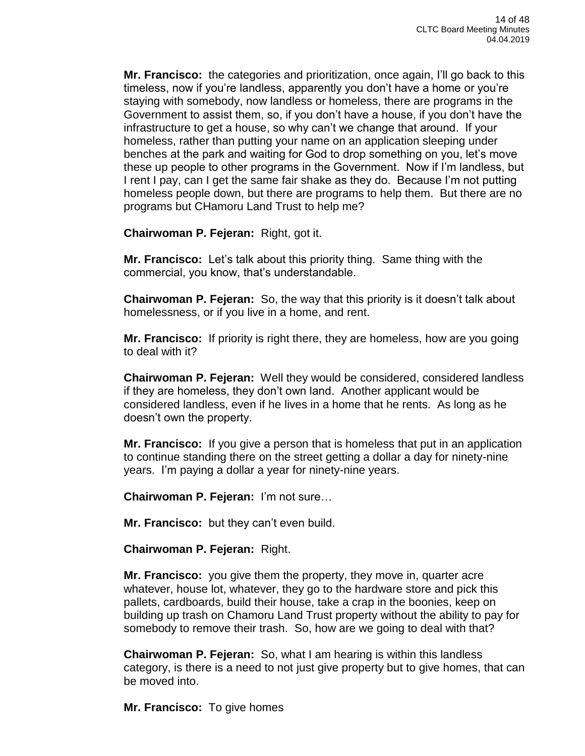**Mr. Francisco:** the categories and prioritization, once again, I'll go back to this timeless, now if you're landless, apparently you don't have a home or you're staying with somebody, now landless or homeless, there are programs in the Government to assist them, so, if you don't have a house, if you don't have the infrastructure to get a house, so why can't we change that around. If your homeless, rather than putting your name on an application sleeping under benches at the park and waiting for God to drop something on you, let's move these up people to other programs in the Government. Now if I'm landless, but I rent I pay, can I get the same fair shake as they do. Because I'm not putting homeless people down, but there are programs to help them. But there are no programs but CHamoru Land Trust to help me?

**Chairwoman P. Fejeran:** Right, got it.

**Mr. Francisco:** Let's talk about this priority thing. Same thing with the commercial, you know, that's understandable.

**Chairwoman P. Fejeran:** So, the way that this priority is it doesn't talk about homelessness, or if you live in a home, and rent.

**Mr. Francisco:** If priority is right there, they are homeless, how are you going to deal with it?

**Chairwoman P. Fejeran:** Well they would be considered, considered landless if they are homeless, they don't own land. Another applicant would be considered landless, even if he lives in a home that he rents. As long as he doesn't own the property.

**Mr. Francisco:** If you give a person that is homeless that put in an application to continue standing there on the street getting a dollar a day for ninety-nine years. I'm paying a dollar a year for ninety-nine years.

**Chairwoman P. Fejeran:** I'm not sure…

**Mr. Francisco:** but they can't even build.

**Chairwoman P. Fejeran:** Right.

**Mr. Francisco:** you give them the property, they move in, quarter acre whatever, house lot, whatever, they go to the hardware store and pick this pallets, cardboards, build their house, take a crap in the boonies, keep on building up trash on Chamoru Land Trust property without the ability to pay for somebody to remove their trash. So, how are we going to deal with that?

**Chairwoman P. Fejeran:** So, what I am hearing is within this landless category, is there is a need to not just give property but to give homes, that can be moved into.

**Mr. Francisco:** To give homes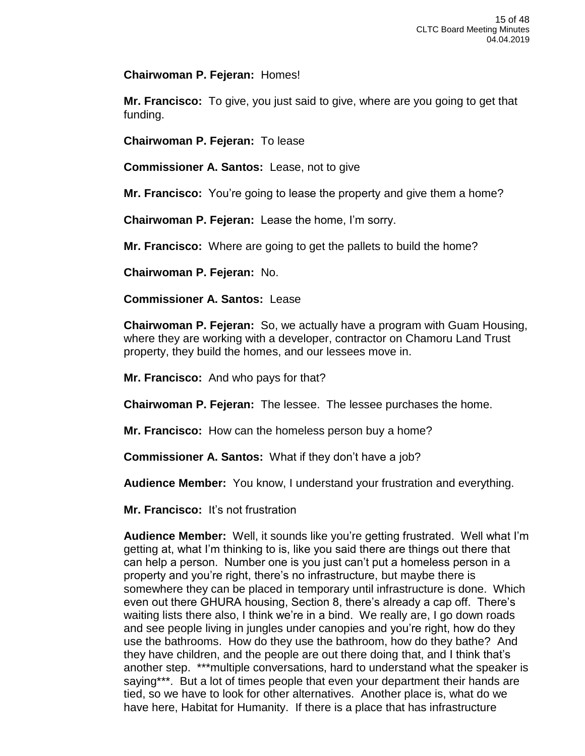**Chairwoman P. Fejeran:** Homes!

**Mr. Francisco:** To give, you just said to give, where are you going to get that funding.

**Chairwoman P. Fejeran:** To lease

**Commissioner A. Santos:** Lease, not to give

**Mr. Francisco:** You're going to lease the property and give them a home?

**Chairwoman P. Fejeran:** Lease the home, I'm sorry.

**Mr. Francisco:** Where are going to get the pallets to build the home?

**Chairwoman P. Fejeran:** No.

## **Commissioner A. Santos:** Lease

**Chairwoman P. Fejeran:** So, we actually have a program with Guam Housing, where they are working with a developer, contractor on Chamoru Land Trust property, they build the homes, and our lessees move in.

**Mr. Francisco:** And who pays for that?

**Chairwoman P. Fejeran:** The lessee. The lessee purchases the home.

**Mr. Francisco:** How can the homeless person buy a home?

**Commissioner A. Santos:** What if they don't have a job?

**Audience Member:** You know, I understand your frustration and everything.

**Mr. Francisco:** It's not frustration

**Audience Member:** Well, it sounds like you're getting frustrated. Well what I'm getting at, what I'm thinking to is, like you said there are things out there that can help a person. Number one is you just can't put a homeless person in a property and you're right, there's no infrastructure, but maybe there is somewhere they can be placed in temporary until infrastructure is done. Which even out there GHURA housing, Section 8, there's already a cap off. There's waiting lists there also, I think we're in a bind. We really are, I go down roads and see people living in jungles under canopies and you're right, how do they use the bathrooms. How do they use the bathroom, how do they bathe? And they have children, and the people are out there doing that, and I think that's another step. \*\*\*multiple conversations, hard to understand what the speaker is saying\*\*\*. But a lot of times people that even your department their hands are tied, so we have to look for other alternatives. Another place is, what do we have here, Habitat for Humanity. If there is a place that has infrastructure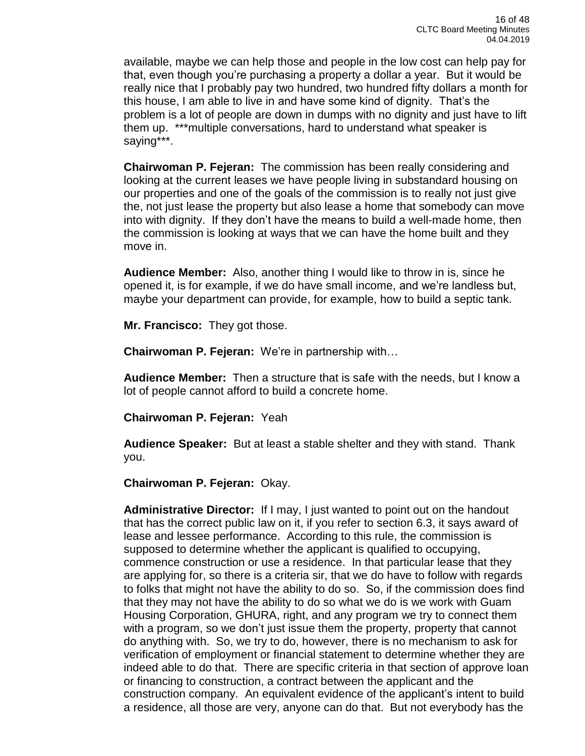available, maybe we can help those and people in the low cost can help pay for that, even though you're purchasing a property a dollar a year. But it would be really nice that I probably pay two hundred, two hundred fifty dollars a month for this house, I am able to live in and have some kind of dignity. That's the problem is a lot of people are down in dumps with no dignity and just have to lift them up. \*\*\*multiple conversations, hard to understand what speaker is saying\*\*\*.

**Chairwoman P. Fejeran:** The commission has been really considering and looking at the current leases we have people living in substandard housing on our properties and one of the goals of the commission is to really not just give the, not just lease the property but also lease a home that somebody can move into with dignity. If they don't have the means to build a well-made home, then the commission is looking at ways that we can have the home built and they move in.

**Audience Member:** Also, another thing I would like to throw in is, since he opened it, is for example, if we do have small income, and we're landless but, maybe your department can provide, for example, how to build a septic tank.

**Mr. Francisco:** They got those.

**Chairwoman P. Fejeran:** We're in partnership with…

**Audience Member:** Then a structure that is safe with the needs, but I know a lot of people cannot afford to build a concrete home.

**Chairwoman P. Fejeran:** Yeah

**Audience Speaker:** But at least a stable shelter and they with stand. Thank you.

**Chairwoman P. Fejeran:** Okay.

**Administrative Director:** If I may, I just wanted to point out on the handout that has the correct public law on it, if you refer to section 6.3, it says award of lease and lessee performance. According to this rule, the commission is supposed to determine whether the applicant is qualified to occupying, commence construction or use a residence. In that particular lease that they are applying for, so there is a criteria sir, that we do have to follow with regards to folks that might not have the ability to do so. So, if the commission does find that they may not have the ability to do so what we do is we work with Guam Housing Corporation, GHURA, right, and any program we try to connect them with a program, so we don't just issue them the property, property that cannot do anything with. So, we try to do, however, there is no mechanism to ask for verification of employment or financial statement to determine whether they are indeed able to do that. There are specific criteria in that section of approve loan or financing to construction, a contract between the applicant and the construction company. An equivalent evidence of the applicant's intent to build a residence, all those are very, anyone can do that. But not everybody has the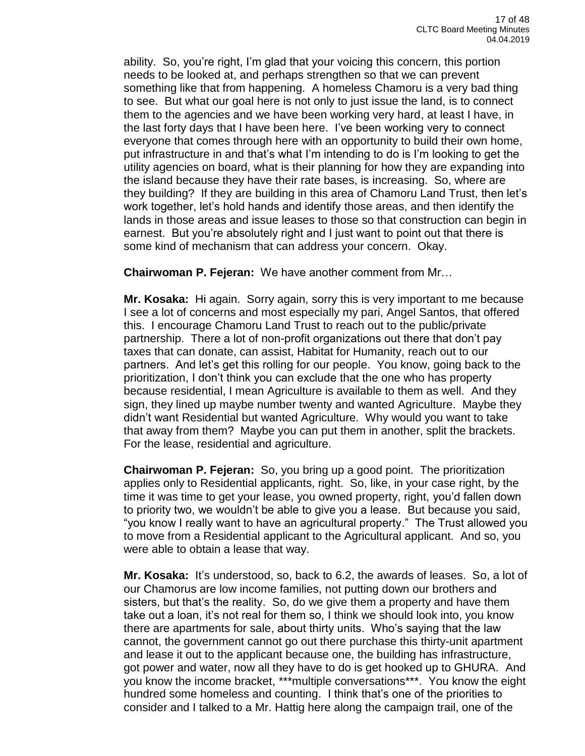ability. So, you're right, I'm glad that your voicing this concern, this portion needs to be looked at, and perhaps strengthen so that we can prevent something like that from happening. A homeless Chamoru is a very bad thing to see. But what our goal here is not only to just issue the land, is to connect them to the agencies and we have been working very hard, at least I have, in the last forty days that I have been here. I've been working very to connect everyone that comes through here with an opportunity to build their own home, put infrastructure in and that's what I'm intending to do is I'm looking to get the utility agencies on board, what is their planning for how they are expanding into the island because they have their rate bases, is increasing. So, where are they building? If they are building in this area of Chamoru Land Trust, then let's work together, let's hold hands and identify those areas, and then identify the lands in those areas and issue leases to those so that construction can begin in earnest. But you're absolutely right and I just want to point out that there is some kind of mechanism that can address your concern. Okay.

**Chairwoman P. Fejeran:** We have another comment from Mr…

**Mr. Kosaka:** Hi again. Sorry again, sorry this is very important to me because I see a lot of concerns and most especially my pari, Angel Santos, that offered this. I encourage Chamoru Land Trust to reach out to the public/private partnership. There a lot of non-profit organizations out there that don't pay taxes that can donate, can assist, Habitat for Humanity, reach out to our partners. And let's get this rolling for our people. You know, going back to the prioritization, I don't think you can exclude that the one who has property because residential, I mean Agriculture is available to them as well. And they sign, they lined up maybe number twenty and wanted Agriculture. Maybe they didn't want Residential but wanted Agriculture. Why would you want to take that away from them? Maybe you can put them in another, split the brackets. For the lease, residential and agriculture.

**Chairwoman P. Fejeran:** So, you bring up a good point. The prioritization applies only to Residential applicants, right. So, like, in your case right, by the time it was time to get your lease, you owned property, right, you'd fallen down to priority two, we wouldn't be able to give you a lease. But because you said, "you know I really want to have an agricultural property." The Trust allowed you to move from a Residential applicant to the Agricultural applicant. And so, you were able to obtain a lease that way.

**Mr. Kosaka:** It's understood, so, back to 6.2, the awards of leases. So, a lot of our Chamorus are low income families, not putting down our brothers and sisters, but that's the reality. So, do we give them a property and have them take out a loan, it's not real for them so, I think we should look into, you know there are apartments for sale, about thirty units. Who's saying that the law cannot, the government cannot go out there purchase this thirty-unit apartment and lease it out to the applicant because one, the building has infrastructure, got power and water, now all they have to do is get hooked up to GHURA. And you know the income bracket, \*\*\*multiple conversations\*\*\*. You know the eight hundred some homeless and counting. I think that's one of the priorities to consider and I talked to a Mr. Hattig here along the campaign trail, one of the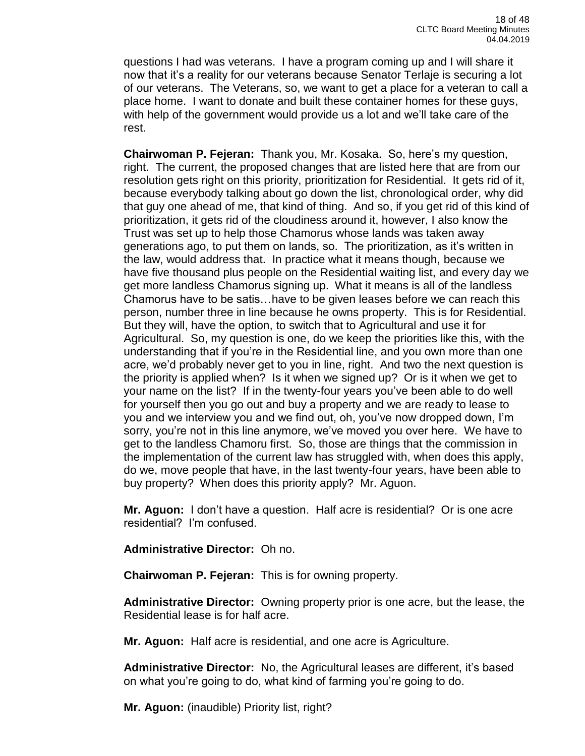questions I had was veterans. I have a program coming up and I will share it now that it's a reality for our veterans because Senator Terlaje is securing a lot of our veterans. The Veterans, so, we want to get a place for a veteran to call a place home. I want to donate and built these container homes for these guys, with help of the government would provide us a lot and we'll take care of the rest.

**Chairwoman P. Fejeran:** Thank you, Mr. Kosaka. So, here's my question, right. The current, the proposed changes that are listed here that are from our resolution gets right on this priority, prioritization for Residential. It gets rid of it, because everybody talking about go down the list, chronological order, why did that guy one ahead of me, that kind of thing. And so, if you get rid of this kind of prioritization, it gets rid of the cloudiness around it, however, I also know the Trust was set up to help those Chamorus whose lands was taken away generations ago, to put them on lands, so. The prioritization, as it's written in the law, would address that. In practice what it means though, because we have five thousand plus people on the Residential waiting list, and every day we get more landless Chamorus signing up. What it means is all of the landless Chamorus have to be satis…have to be given leases before we can reach this person, number three in line because he owns property. This is for Residential. But they will, have the option, to switch that to Agricultural and use it for Agricultural. So, my question is one, do we keep the priorities like this, with the understanding that if you're in the Residential line, and you own more than one acre, we'd probably never get to you in line, right. And two the next question is the priority is applied when? Is it when we signed up? Or is it when we get to your name on the list? If in the twenty-four years you've been able to do well for yourself then you go out and buy a property and we are ready to lease to you and we interview you and we find out, oh, you've now dropped down, I'm sorry, you're not in this line anymore, we've moved you over here. We have to get to the landless Chamoru first. So, those are things that the commission in the implementation of the current law has struggled with, when does this apply, do we, move people that have, in the last twenty-four years, have been able to buy property? When does this priority apply? Mr. Aguon.

**Mr. Aguon:** I don't have a question. Half acre is residential? Or is one acre residential? I'm confused.

**Administrative Director:** Oh no.

**Chairwoman P. Fejeran:** This is for owning property.

**Administrative Director:** Owning property prior is one acre, but the lease, the Residential lease is for half acre.

**Mr. Aguon:** Half acre is residential, and one acre is Agriculture.

**Administrative Director:** No, the Agricultural leases are different, it's based on what you're going to do, what kind of farming you're going to do.

**Mr. Aguon:** (inaudible) Priority list, right?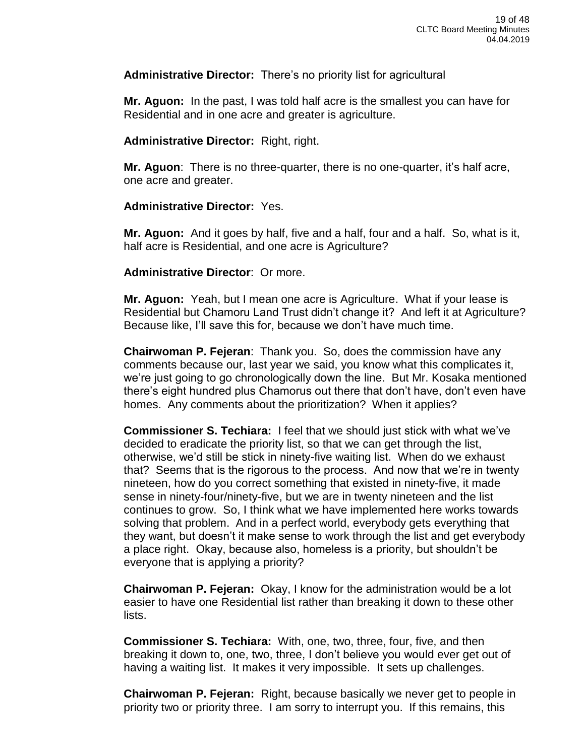**Administrative Director:** There's no priority list for agricultural

**Mr. Aguon:** In the past, I was told half acre is the smallest you can have for Residential and in one acre and greater is agriculture.

**Administrative Director:** Right, right.

**Mr. Aguon**: There is no three-quarter, there is no one-quarter, it's half acre, one acre and greater.

### **Administrative Director:** Yes.

**Mr. Aguon:** And it goes by half, five and a half, four and a half. So, what is it, half acre is Residential, and one acre is Agriculture?

### **Administrative Director**: Or more.

**Mr. Aguon:** Yeah, but I mean one acre is Agriculture. What if your lease is Residential but Chamoru Land Trust didn't change it? And left it at Agriculture? Because like, I'll save this for, because we don't have much time.

**Chairwoman P. Fejeran**: Thank you. So, does the commission have any comments because our, last year we said, you know what this complicates it, we're just going to go chronologically down the line. But Mr. Kosaka mentioned there's eight hundred plus Chamorus out there that don't have, don't even have homes. Any comments about the prioritization? When it applies?

**Commissioner S. Techiara:** I feel that we should just stick with what we've decided to eradicate the priority list, so that we can get through the list, otherwise, we'd still be stick in ninety-five waiting list. When do we exhaust that? Seems that is the rigorous to the process. And now that we're in twenty nineteen, how do you correct something that existed in ninety-five, it made sense in ninety-four/ninety-five, but we are in twenty nineteen and the list continues to grow. So, I think what we have implemented here works towards solving that problem. And in a perfect world, everybody gets everything that they want, but doesn't it make sense to work through the list and get everybody a place right. Okay, because also, homeless is a priority, but shouldn't be everyone that is applying a priority?

**Chairwoman P. Fejeran:** Okay, I know for the administration would be a lot easier to have one Residential list rather than breaking it down to these other lists.

**Commissioner S. Techiara:** With, one, two, three, four, five, and then breaking it down to, one, two, three, I don't believe you would ever get out of having a waiting list. It makes it very impossible. It sets up challenges.

**Chairwoman P. Fejeran:** Right, because basically we never get to people in priority two or priority three. I am sorry to interrupt you. If this remains, this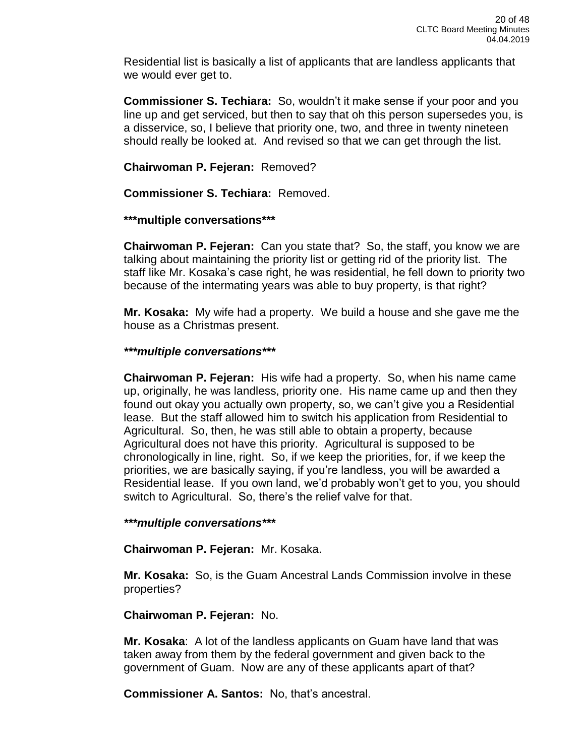Residential list is basically a list of applicants that are landless applicants that we would ever get to.

**Commissioner S. Techiara:** So, wouldn't it make sense if your poor and you line up and get serviced, but then to say that oh this person supersedes you, is a disservice, so, I believe that priority one, two, and three in twenty nineteen should really be looked at. And revised so that we can get through the list.

## **Chairwoman P. Fejeran:** Removed?

**Commissioner S. Techiara:** Removed.

# **\*\*\*multiple conversations\*\*\***

**Chairwoman P. Fejeran:** Can you state that? So, the staff, you know we are talking about maintaining the priority list or getting rid of the priority list. The staff like Mr. Kosaka's case right, he was residential, he fell down to priority two because of the intermating years was able to buy property, is that right?

**Mr. Kosaka:** My wife had a property. We build a house and she gave me the house as a Christmas present.

# *\*\*\*multiple conversations\*\*\**

**Chairwoman P. Fejeran:** His wife had a property. So, when his name came up, originally, he was landless, priority one. His name came up and then they found out okay you actually own property, so, we can't give you a Residential lease. But the staff allowed him to switch his application from Residential to Agricultural. So, then, he was still able to obtain a property, because Agricultural does not have this priority. Agricultural is supposed to be chronologically in line, right. So, if we keep the priorities, for, if we keep the priorities, we are basically saying, if you're landless, you will be awarded a Residential lease. If you own land, we'd probably won't get to you, you should switch to Agricultural. So, there's the relief valve for that.

## *\*\*\*multiple conversations\*\*\**

**Chairwoman P. Fejeran:** Mr. Kosaka.

**Mr. Kosaka:** So, is the Guam Ancestral Lands Commission involve in these properties?

## **Chairwoman P. Fejeran:** No.

**Mr. Kosaka**: A lot of the landless applicants on Guam have land that was taken away from them by the federal government and given back to the government of Guam. Now are any of these applicants apart of that?

**Commissioner A. Santos:** No, that's ancestral.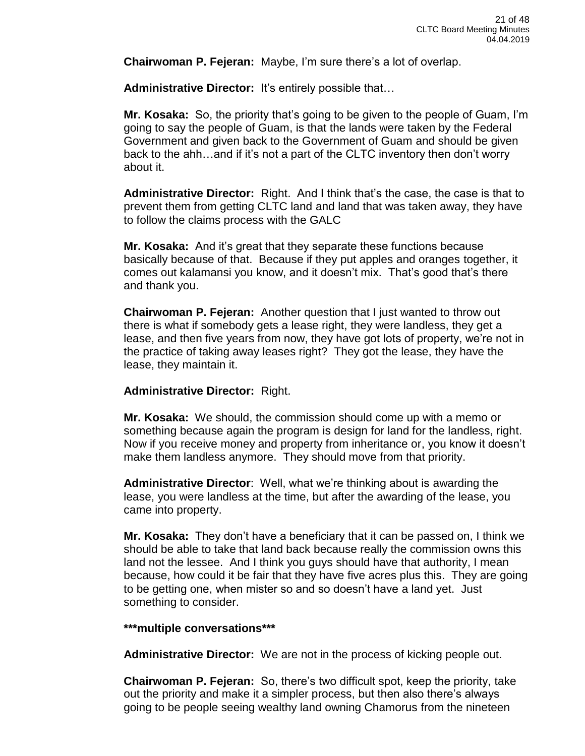**Chairwoman P. Fejeran:** Maybe, I'm sure there's a lot of overlap.

**Administrative Director:** It's entirely possible that…

**Mr. Kosaka:** So, the priority that's going to be given to the people of Guam, I'm going to say the people of Guam, is that the lands were taken by the Federal Government and given back to the Government of Guam and should be given back to the ahh…and if it's not a part of the CLTC inventory then don't worry about it.

**Administrative Director:** Right. And I think that's the case, the case is that to prevent them from getting CLTC land and land that was taken away, they have to follow the claims process with the GALC

**Mr. Kosaka:** And it's great that they separate these functions because basically because of that. Because if they put apples and oranges together, it comes out kalamansi you know, and it doesn't mix. That's good that's there and thank you.

**Chairwoman P. Fejeran:** Another question that I just wanted to throw out there is what if somebody gets a lease right, they were landless, they get a lease, and then five years from now, they have got lots of property, we're not in the practice of taking away leases right? They got the lease, they have the lease, they maintain it.

#### **Administrative Director:** Right.

**Mr. Kosaka:** We should, the commission should come up with a memo or something because again the program is design for land for the landless, right. Now if you receive money and property from inheritance or, you know it doesn't make them landless anymore. They should move from that priority.

**Administrative Director**: Well, what we're thinking about is awarding the lease, you were landless at the time, but after the awarding of the lease, you came into property.

**Mr. Kosaka:** They don't have a beneficiary that it can be passed on, I think we should be able to take that land back because really the commission owns this land not the lessee. And I think you guys should have that authority, I mean because, how could it be fair that they have five acres plus this. They are going to be getting one, when mister so and so doesn't have a land yet. Just something to consider.

#### **\*\*\*multiple conversations\*\*\***

**Administrative Director:** We are not in the process of kicking people out.

**Chairwoman P. Fejeran:** So, there's two difficult spot, keep the priority, take out the priority and make it a simpler process, but then also there's always going to be people seeing wealthy land owning Chamorus from the nineteen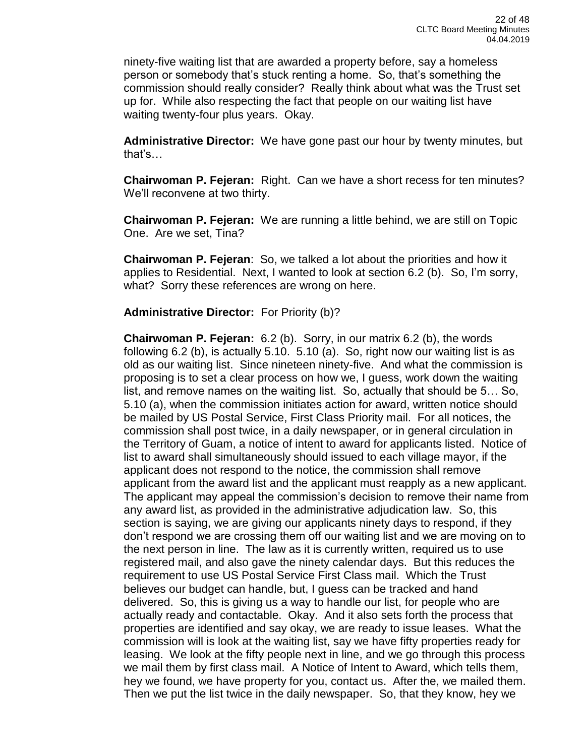ninety-five waiting list that are awarded a property before, say a homeless person or somebody that's stuck renting a home. So, that's something the commission should really consider? Really think about what was the Trust set up for. While also respecting the fact that people on our waiting list have waiting twenty-four plus years. Okay.

**Administrative Director:** We have gone past our hour by twenty minutes, but that's…

**Chairwoman P. Fejeran:** Right. Can we have a short recess for ten minutes? We'll reconvene at two thirty.

**Chairwoman P. Fejeran:** We are running a little behind, we are still on Topic One. Are we set, Tina?

**Chairwoman P. Fejeran**: So, we talked a lot about the priorities and how it applies to Residential. Next, I wanted to look at section 6.2 (b). So, I'm sorry, what? Sorry these references are wrong on here.

**Administrative Director:** For Priority (b)?

**Chairwoman P. Fejeran:** 6.2 (b). Sorry, in our matrix 6.2 (b), the words following 6.2 (b), is actually 5.10. 5.10 (a). So, right now our waiting list is as old as our waiting list. Since nineteen ninety-five. And what the commission is proposing is to set a clear process on how we, I guess, work down the waiting list, and remove names on the waiting list. So, actually that should be 5… So, 5.10 (a), when the commission initiates action for award, written notice should be mailed by US Postal Service, First Class Priority mail. For all notices, the commission shall post twice, in a daily newspaper, or in general circulation in the Territory of Guam, a notice of intent to award for applicants listed. Notice of list to award shall simultaneously should issued to each village mayor, if the applicant does not respond to the notice, the commission shall remove applicant from the award list and the applicant must reapply as a new applicant. The applicant may appeal the commission's decision to remove their name from any award list, as provided in the administrative adjudication law. So, this section is saying, we are giving our applicants ninety days to respond, if they don't respond we are crossing them off our waiting list and we are moving on to the next person in line. The law as it is currently written, required us to use registered mail, and also gave the ninety calendar days. But this reduces the requirement to use US Postal Service First Class mail. Which the Trust believes our budget can handle, but, I guess can be tracked and hand delivered. So, this is giving us a way to handle our list, for people who are actually ready and contactable. Okay. And it also sets forth the process that properties are identified and say okay, we are ready to issue leases. What the commission will is look at the waiting list, say we have fifty properties ready for leasing. We look at the fifty people next in line, and we go through this process we mail them by first class mail. A Notice of Intent to Award, which tells them, hey we found, we have property for you, contact us. After the, we mailed them. Then we put the list twice in the daily newspaper. So, that they know, hey we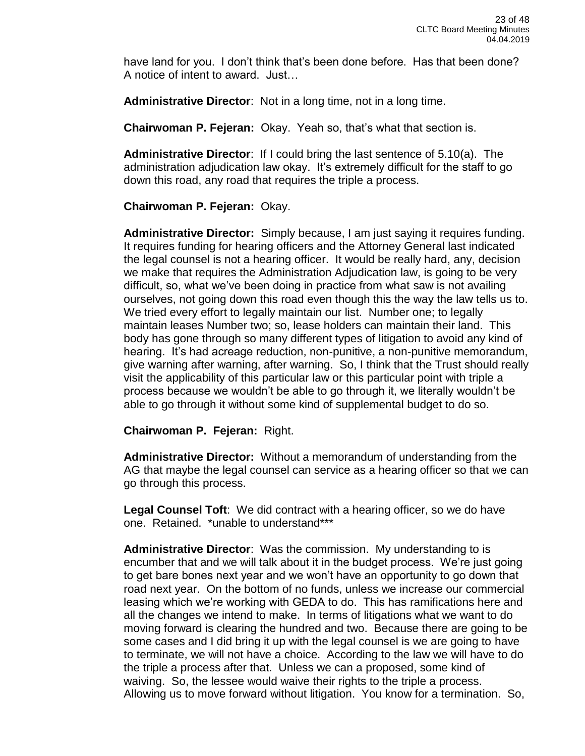have land for you. I don't think that's been done before. Has that been done? A notice of intent to award. Just…

**Administrative Director**: Not in a long time, not in a long time.

**Chairwoman P. Fejeran:** Okay. Yeah so, that's what that section is.

**Administrative Director**: If I could bring the last sentence of 5.10(a). The administration adjudication law okay. It's extremely difficult for the staff to go down this road, any road that requires the triple a process.

**Chairwoman P. Fejeran:** Okay.

**Administrative Director:** Simply because, I am just saying it requires funding. It requires funding for hearing officers and the Attorney General last indicated the legal counsel is not a hearing officer. It would be really hard, any, decision we make that requires the Administration Adjudication law, is going to be very difficult, so, what we've been doing in practice from what saw is not availing ourselves, not going down this road even though this the way the law tells us to. We tried every effort to legally maintain our list. Number one; to legally maintain leases Number two; so, lease holders can maintain their land. This body has gone through so many different types of litigation to avoid any kind of hearing. It's had acreage reduction, non-punitive, a non-punitive memorandum, give warning after warning, after warning. So, I think that the Trust should really visit the applicability of this particular law or this particular point with triple a process because we wouldn't be able to go through it, we literally wouldn't be able to go through it without some kind of supplemental budget to do so.

**Chairwoman P. Fejeran:** Right.

**Administrative Director:** Without a memorandum of understanding from the AG that maybe the legal counsel can service as a hearing officer so that we can go through this process.

**Legal Counsel Toft**: We did contract with a hearing officer, so we do have one. Retained. \*unable to understand\*\*\*

**Administrative Director**: Was the commission. My understanding to is encumber that and we will talk about it in the budget process. We're just going to get bare bones next year and we won't have an opportunity to go down that road next year. On the bottom of no funds, unless we increase our commercial leasing which we're working with GEDA to do. This has ramifications here and all the changes we intend to make. In terms of litigations what we want to do moving forward is clearing the hundred and two. Because there are going to be some cases and I did bring it up with the legal counsel is we are going to have to terminate, we will not have a choice. According to the law we will have to do the triple a process after that. Unless we can a proposed, some kind of waiving. So, the lessee would waive their rights to the triple a process. Allowing us to move forward without litigation. You know for a termination. So,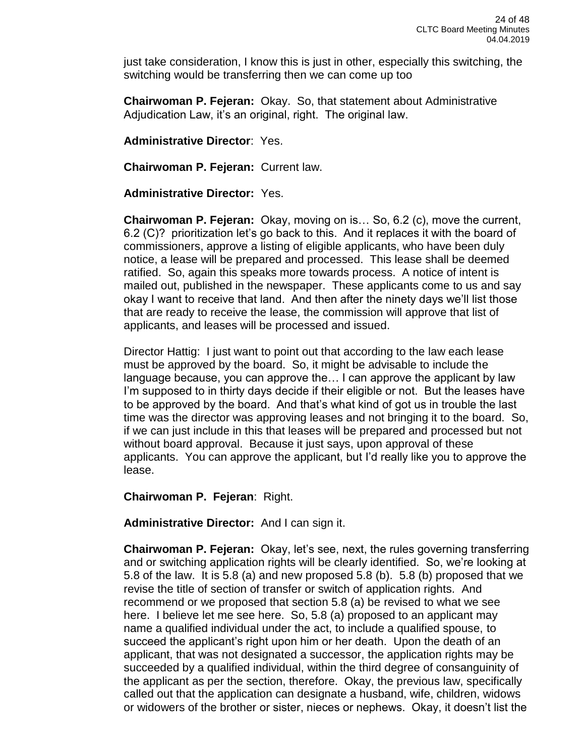just take consideration, I know this is just in other, especially this switching, the switching would be transferring then we can come up too

**Chairwoman P. Fejeran:** Okay. So, that statement about Administrative Adjudication Law, it's an original, right. The original law.

**Administrative Director**: Yes.

**Chairwoman P. Fejeran:** Current law.

### **Administrative Director:** Yes.

**Chairwoman P. Fejeran:** Okay, moving on is… So, 6.2 (c), move the current, 6.2 (C)? prioritization let's go back to this. And it replaces it with the board of commissioners, approve a listing of eligible applicants, who have been duly notice, a lease will be prepared and processed. This lease shall be deemed ratified. So, again this speaks more towards process. A notice of intent is mailed out, published in the newspaper. These applicants come to us and say okay I want to receive that land. And then after the ninety days we'll list those that are ready to receive the lease, the commission will approve that list of applicants, and leases will be processed and issued.

Director Hattig: I just want to point out that according to the law each lease must be approved by the board. So, it might be advisable to include the language because, you can approve the… I can approve the applicant by law I'm supposed to in thirty days decide if their eligible or not. But the leases have to be approved by the board. And that's what kind of got us in trouble the last time was the director was approving leases and not bringing it to the board. So, if we can just include in this that leases will be prepared and processed but not without board approval. Because it just says, upon approval of these applicants. You can approve the applicant, but I'd really like you to approve the lease.

**Chairwoman P. Fejeran**: Right.

**Administrative Director:** And I can sign it.

**Chairwoman P. Fejeran:** Okay, let's see, next, the rules governing transferring and or switching application rights will be clearly identified. So, we're looking at 5.8 of the law. It is 5.8 (a) and new proposed 5.8 (b). 5.8 (b) proposed that we revise the title of section of transfer or switch of application rights. And recommend or we proposed that section 5.8 (a) be revised to what we see here. I believe let me see here. So, 5.8 (a) proposed to an applicant may name a qualified individual under the act, to include a qualified spouse, to succeed the applicant's right upon him or her death. Upon the death of an applicant, that was not designated a successor, the application rights may be succeeded by a qualified individual, within the third degree of consanguinity of the applicant as per the section, therefore. Okay, the previous law, specifically called out that the application can designate a husband, wife, children, widows or widowers of the brother or sister, nieces or nephews. Okay, it doesn't list the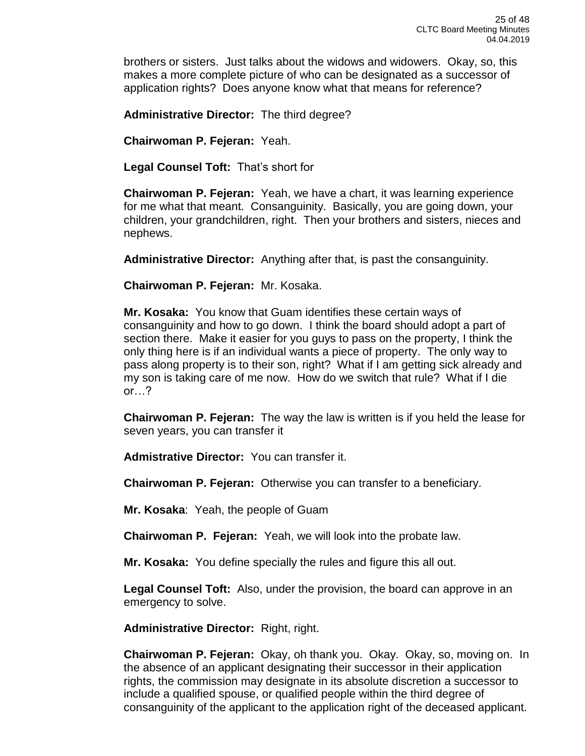brothers or sisters. Just talks about the widows and widowers. Okay, so, this makes a more complete picture of who can be designated as a successor of application rights? Does anyone know what that means for reference?

**Administrative Director:** The third degree?

**Chairwoman P. Fejeran:** Yeah.

**Legal Counsel Toft:** That's short for

**Chairwoman P. Fejeran:** Yeah, we have a chart, it was learning experience for me what that meant. Consanguinity. Basically, you are going down, your children, your grandchildren, right. Then your brothers and sisters, nieces and nephews.

**Administrative Director:** Anything after that, is past the consanguinity.

**Chairwoman P. Fejeran:** Mr. Kosaka.

**Mr. Kosaka:** You know that Guam identifies these certain ways of consanguinity and how to go down. I think the board should adopt a part of section there. Make it easier for you guys to pass on the property, I think the only thing here is if an individual wants a piece of property. The only way to pass along property is to their son, right? What if I am getting sick already and my son is taking care of me now. How do we switch that rule? What if I die or…?

**Chairwoman P. Fejeran:** The way the law is written is if you held the lease for seven years, you can transfer it

**Admistrative Director:** You can transfer it.

**Chairwoman P. Fejeran:** Otherwise you can transfer to a beneficiary.

**Mr. Kosaka**: Yeah, the people of Guam

**Chairwoman P. Fejeran:** Yeah, we will look into the probate law.

**Mr. Kosaka:** You define specially the rules and figure this all out.

**Legal Counsel Toft:** Also, under the provision, the board can approve in an emergency to solve.

**Administrative Director:** Right, right.

**Chairwoman P. Fejeran:** Okay, oh thank you. Okay. Okay, so, moving on. In the absence of an applicant designating their successor in their application rights, the commission may designate in its absolute discretion a successor to include a qualified spouse, or qualified people within the third degree of consanguinity of the applicant to the application right of the deceased applicant.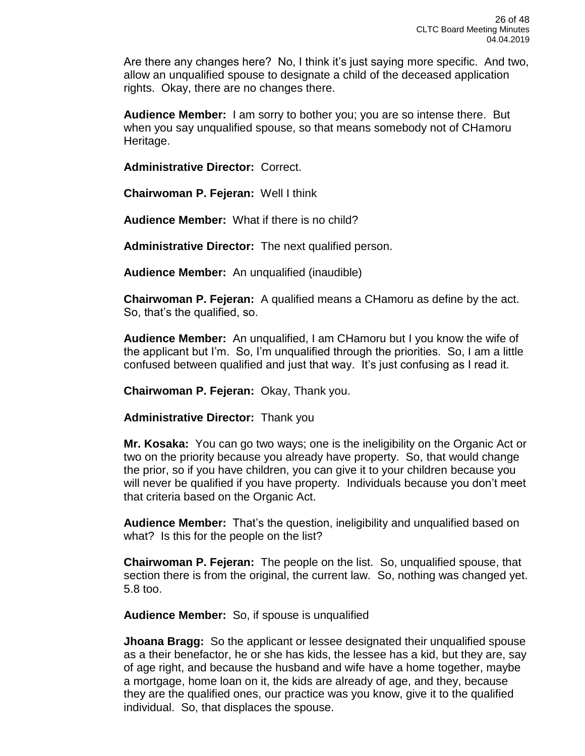Are there any changes here? No, I think it's just saying more specific. And two, allow an unqualified spouse to designate a child of the deceased application rights. Okay, there are no changes there.

**Audience Member:** I am sorry to bother you; you are so intense there. But when you say unqualified spouse, so that means somebody not of CHamoru Heritage.

**Administrative Director:** Correct.

**Chairwoman P. Fejeran:** Well I think

**Audience Member:** What if there is no child?

**Administrative Director:** The next qualified person.

**Audience Member:** An unqualified (inaudible)

**Chairwoman P. Fejeran:** A qualified means a CHamoru as define by the act. So, that's the qualified, so.

**Audience Member:** An unqualified, I am CHamoru but I you know the wife of the applicant but I'm. So, I'm unqualified through the priorities. So, I am a little confused between qualified and just that way. It's just confusing as I read it.

**Chairwoman P. Fejeran:** Okay, Thank you.

**Administrative Director:** Thank you

**Mr. Kosaka:** You can go two ways; one is the ineligibility on the Organic Act or two on the priority because you already have property. So, that would change the prior, so if you have children, you can give it to your children because you will never be qualified if you have property. Individuals because you don't meet that criteria based on the Organic Act.

**Audience Member:** That's the question, ineligibility and unqualified based on what? Is this for the people on the list?

**Chairwoman P. Fejeran:** The people on the list. So, unqualified spouse, that section there is from the original, the current law. So, nothing was changed yet. 5.8 too.

**Audience Member:** So, if spouse is unqualified

**Jhoana Bragg:** So the applicant or lessee designated their unqualified spouse as a their benefactor, he or she has kids, the lessee has a kid, but they are, say of age right, and because the husband and wife have a home together, maybe a mortgage, home loan on it, the kids are already of age, and they, because they are the qualified ones, our practice was you know, give it to the qualified individual. So, that displaces the spouse.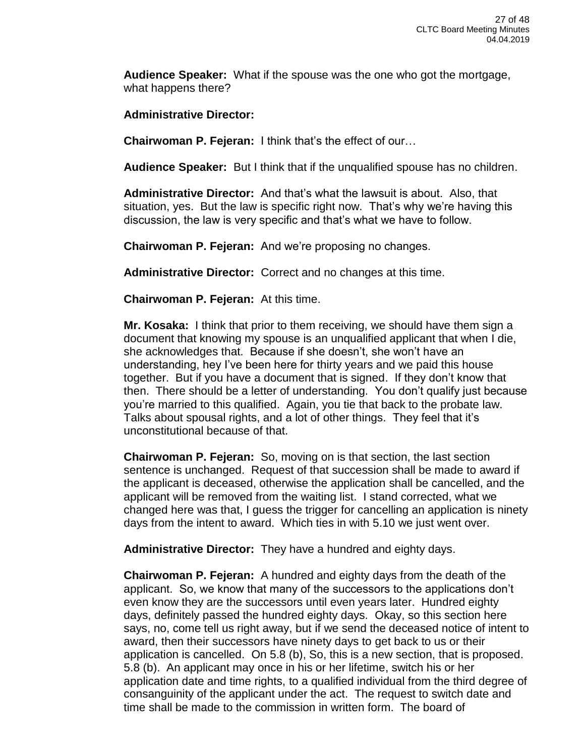**Audience Speaker:** What if the spouse was the one who got the mortgage, what happens there?

**Administrative Director:** 

**Chairwoman P. Fejeran:** I think that's the effect of our…

**Audience Speaker:** But I think that if the unqualified spouse has no children.

**Administrative Director:** And that's what the lawsuit is about. Also, that situation, yes. But the law is specific right now. That's why we're having this discussion, the law is very specific and that's what we have to follow.

**Chairwoman P. Fejeran:** And we're proposing no changes.

**Administrative Director:** Correct and no changes at this time.

**Chairwoman P. Fejeran:** At this time.

**Mr. Kosaka:** I think that prior to them receiving, we should have them sign a document that knowing my spouse is an unqualified applicant that when I die, she acknowledges that. Because if she doesn't, she won't have an understanding, hey I've been here for thirty years and we paid this house together. But if you have a document that is signed. If they don't know that then. There should be a letter of understanding. You don't qualify just because you're married to this qualified. Again, you tie that back to the probate law. Talks about spousal rights, and a lot of other things. They feel that it's unconstitutional because of that.

**Chairwoman P. Fejeran:** So, moving on is that section, the last section sentence is unchanged. Request of that succession shall be made to award if the applicant is deceased, otherwise the application shall be cancelled, and the applicant will be removed from the waiting list. I stand corrected, what we changed here was that, I guess the trigger for cancelling an application is ninety days from the intent to award. Which ties in with 5.10 we just went over.

**Administrative Director:** They have a hundred and eighty days.

**Chairwoman P. Fejeran:** A hundred and eighty days from the death of the applicant. So, we know that many of the successors to the applications don't even know they are the successors until even years later. Hundred eighty days, definitely passed the hundred eighty days. Okay, so this section here says, no, come tell us right away, but if we send the deceased notice of intent to award, then their successors have ninety days to get back to us or their application is cancelled. On 5.8 (b), So, this is a new section, that is proposed. 5.8 (b). An applicant may once in his or her lifetime, switch his or her application date and time rights, to a qualified individual from the third degree of consanguinity of the applicant under the act. The request to switch date and time shall be made to the commission in written form. The board of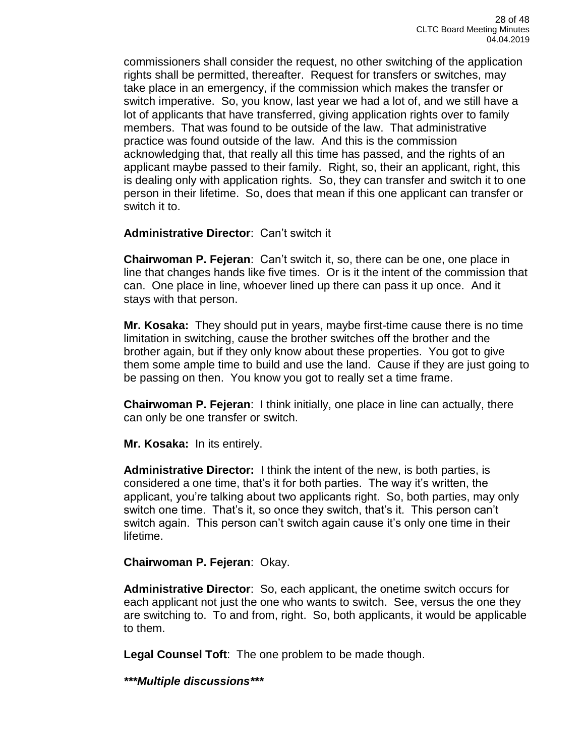commissioners shall consider the request, no other switching of the application rights shall be permitted, thereafter. Request for transfers or switches, may take place in an emergency, if the commission which makes the transfer or switch imperative. So, you know, last year we had a lot of, and we still have a lot of applicants that have transferred, giving application rights over to family members. That was found to be outside of the law. That administrative practice was found outside of the law. And this is the commission acknowledging that, that really all this time has passed, and the rights of an applicant maybe passed to their family. Right, so, their an applicant, right, this is dealing only with application rights. So, they can transfer and switch it to one person in their lifetime. So, does that mean if this one applicant can transfer or switch it to.

**Administrative Director**: Can't switch it

**Chairwoman P. Fejeran**: Can't switch it, so, there can be one, one place in line that changes hands like five times. Or is it the intent of the commission that can. One place in line, whoever lined up there can pass it up once. And it stays with that person.

**Mr. Kosaka:** They should put in years, maybe first-time cause there is no time limitation in switching, cause the brother switches off the brother and the brother again, but if they only know about these properties. You got to give them some ample time to build and use the land. Cause if they are just going to be passing on then. You know you got to really set a time frame.

**Chairwoman P. Fejeran**: I think initially, one place in line can actually, there can only be one transfer or switch.

**Mr. Kosaka:** In its entirely.

**Administrative Director:** I think the intent of the new, is both parties, is considered a one time, that's it for both parties. The way it's written, the applicant, you're talking about two applicants right. So, both parties, may only switch one time. That's it, so once they switch, that's it. This person can't switch again. This person can't switch again cause it's only one time in their lifetime.

**Chairwoman P. Fejeran**: Okay.

**Administrative Director**: So, each applicant, the onetime switch occurs for each applicant not just the one who wants to switch. See, versus the one they are switching to. To and from, right. So, both applicants, it would be applicable to them.

**Legal Counsel Toft**: The one problem to be made though.

*\*\*\*Multiple discussions\*\*\**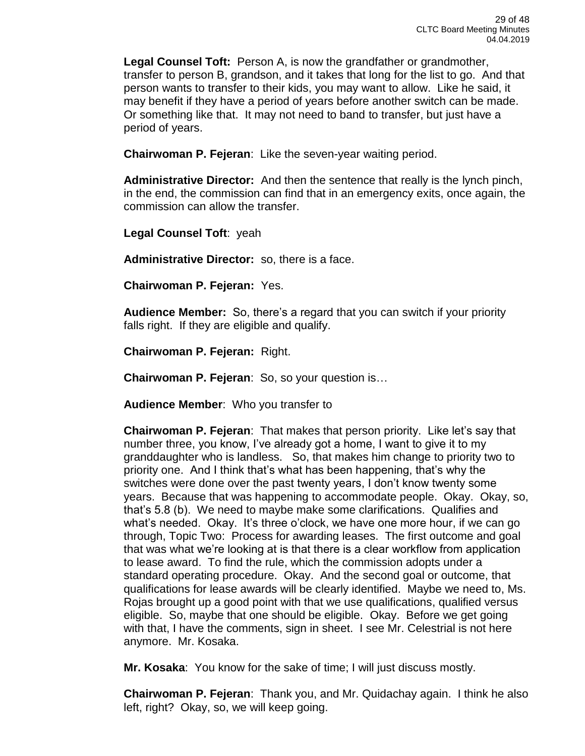**Legal Counsel Toft:** Person A, is now the grandfather or grandmother, transfer to person B, grandson, and it takes that long for the list to go. And that person wants to transfer to their kids, you may want to allow. Like he said, it may benefit if they have a period of years before another switch can be made. Or something like that. It may not need to band to transfer, but just have a period of years.

**Chairwoman P. Fejeran**: Like the seven-year waiting period.

**Administrative Director:** And then the sentence that really is the lynch pinch, in the end, the commission can find that in an emergency exits, once again, the commission can allow the transfer.

**Legal Counsel Toft**: yeah

**Administrative Director:** so, there is a face.

**Chairwoman P. Fejeran:** Yes.

**Audience Member:** So, there's a regard that you can switch if your priority falls right. If they are eligible and qualify.

**Chairwoman P. Fejeran:** Right.

**Chairwoman P. Fejeran**: So, so your question is…

**Audience Member**: Who you transfer to

**Chairwoman P. Fejeran**: That makes that person priority. Like let's say that number three, you know, I've already got a home, I want to give it to my granddaughter who is landless. So, that makes him change to priority two to priority one. And I think that's what has been happening, that's why the switches were done over the past twenty years, I don't know twenty some years. Because that was happening to accommodate people. Okay. Okay, so, that's 5.8 (b). We need to maybe make some clarifications. Qualifies and what's needed. Okay. It's three o'clock, we have one more hour, if we can go through, Topic Two: Process for awarding leases. The first outcome and goal that was what we're looking at is that there is a clear workflow from application to lease award. To find the rule, which the commission adopts under a standard operating procedure. Okay. And the second goal or outcome, that qualifications for lease awards will be clearly identified. Maybe we need to, Ms. Rojas brought up a good point with that we use qualifications, qualified versus eligible. So, maybe that one should be eligible. Okay. Before we get going with that, I have the comments, sign in sheet. I see Mr. Celestrial is not here anymore. Mr. Kosaka.

**Mr. Kosaka**: You know for the sake of time; I will just discuss mostly.

**Chairwoman P. Fejeran**: Thank you, and Mr. Quidachay again. I think he also left, right? Okay, so, we will keep going.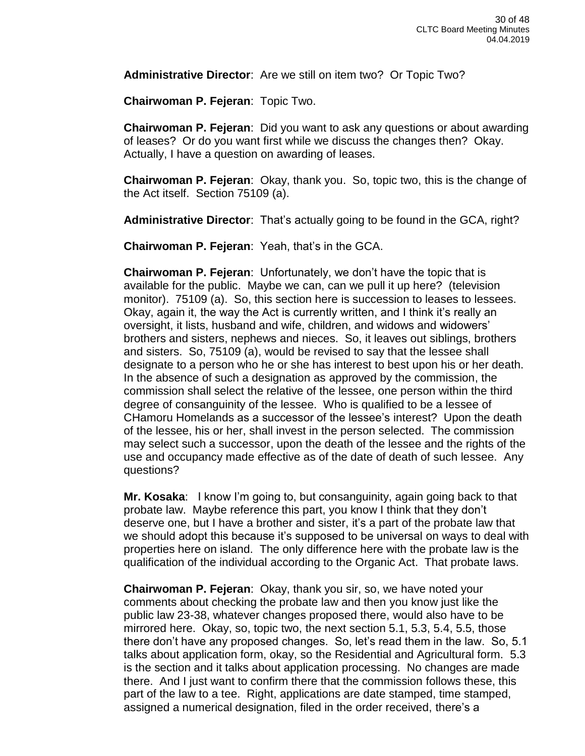**Administrative Director**: Are we still on item two? Or Topic Two?

**Chairwoman P. Fejeran**: Topic Two.

**Chairwoman P. Fejeran**: Did you want to ask any questions or about awarding of leases? Or do you want first while we discuss the changes then? Okay. Actually, I have a question on awarding of leases.

**Chairwoman P. Fejeran**: Okay, thank you. So, topic two, this is the change of the Act itself. Section 75109 (a).

**Administrative Director**: That's actually going to be found in the GCA, right?

**Chairwoman P. Fejeran**: Yeah, that's in the GCA.

**Chairwoman P. Fejeran**: Unfortunately, we don't have the topic that is available for the public. Maybe we can, can we pull it up here? (television monitor). 75109 (a). So, this section here is succession to leases to lessees. Okay, again it, the way the Act is currently written, and I think it's really an oversight, it lists, husband and wife, children, and widows and widowers' brothers and sisters, nephews and nieces. So, it leaves out siblings, brothers and sisters. So, 75109 (a), would be revised to say that the lessee shall designate to a person who he or she has interest to best upon his or her death. In the absence of such a designation as approved by the commission, the commission shall select the relative of the lessee, one person within the third degree of consanguinity of the lessee. Who is qualified to be a lessee of CHamoru Homelands as a successor of the lessee's interest? Upon the death of the lessee, his or her, shall invest in the person selected. The commission may select such a successor, upon the death of the lessee and the rights of the use and occupancy made effective as of the date of death of such lessee. Any questions?

**Mr. Kosaka**: I know I'm going to, but consanguinity, again going back to that probate law. Maybe reference this part, you know I think that they don't deserve one, but I have a brother and sister, it's a part of the probate law that we should adopt this because it's supposed to be universal on ways to deal with properties here on island. The only difference here with the probate law is the qualification of the individual according to the Organic Act. That probate laws.

**Chairwoman P. Fejeran**: Okay, thank you sir, so, we have noted your comments about checking the probate law and then you know just like the public law 23-38, whatever changes proposed there, would also have to be mirrored here. Okay, so, topic two, the next section 5.1, 5.3, 5.4, 5.5, those there don't have any proposed changes. So, let's read them in the law. So, 5.1 talks about application form, okay, so the Residential and Agricultural form. 5.3 is the section and it talks about application processing. No changes are made there. And I just want to confirm there that the commission follows these, this part of the law to a tee. Right, applications are date stamped, time stamped, assigned a numerical designation, filed in the order received, there's a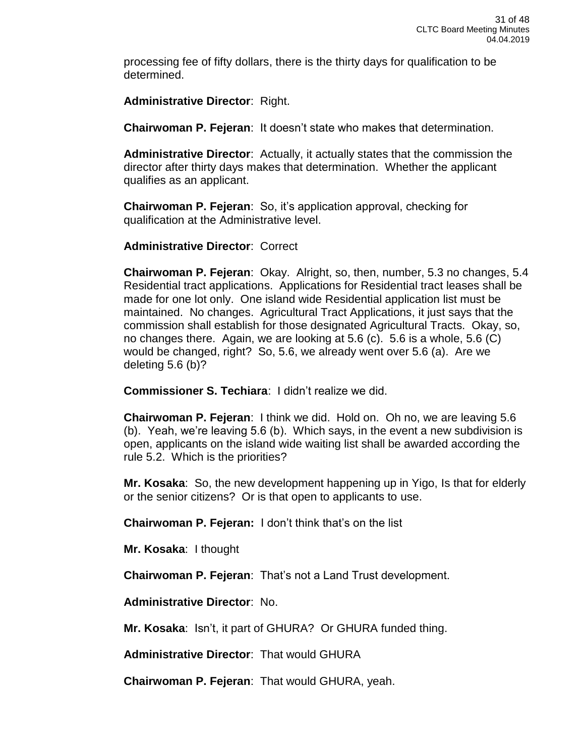processing fee of fifty dollars, there is the thirty days for qualification to be determined.

**Administrative Director**: Right.

**Chairwoman P. Fejeran**: It doesn't state who makes that determination.

**Administrative Director**: Actually, it actually states that the commission the director after thirty days makes that determination. Whether the applicant qualifies as an applicant.

**Chairwoman P. Fejeran**: So, it's application approval, checking for qualification at the Administrative level.

**Administrative Director**: Correct

**Chairwoman P. Fejeran**: Okay. Alright, so, then, number, 5.3 no changes, 5.4 Residential tract applications. Applications for Residential tract leases shall be made for one lot only. One island wide Residential application list must be maintained. No changes. Agricultural Tract Applications, it just says that the commission shall establish for those designated Agricultural Tracts. Okay, so, no changes there. Again, we are looking at 5.6 (c). 5.6 is a whole, 5.6 (C) would be changed, right? So, 5.6, we already went over 5.6 (a). Are we deleting 5.6 (b)?

**Commissioner S. Techiara**: I didn't realize we did.

**Chairwoman P. Fejeran**: I think we did. Hold on. Oh no, we are leaving 5.6 (b). Yeah, we're leaving 5.6 (b). Which says, in the event a new subdivision is open, applicants on the island wide waiting list shall be awarded according the rule 5.2. Which is the priorities?

**Mr. Kosaka**: So, the new development happening up in Yigo, Is that for elderly or the senior citizens? Or is that open to applicants to use.

**Chairwoman P. Fejeran:** I don't think that's on the list

**Mr. Kosaka**: I thought

**Chairwoman P. Fejeran**: That's not a Land Trust development.

**Administrative Director**: No.

**Mr. Kosaka**: Isn't, it part of GHURA? Or GHURA funded thing.

**Administrative Director**: That would GHURA

**Chairwoman P. Fejeran**: That would GHURA, yeah.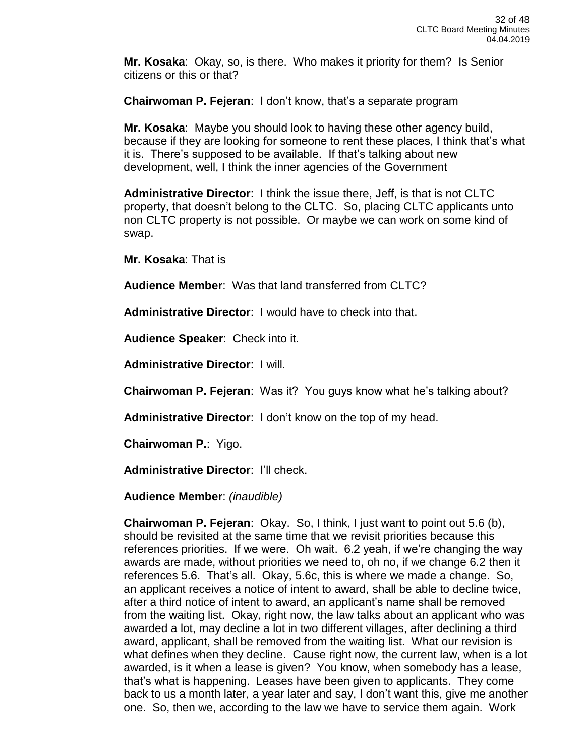**Mr. Kosaka**: Okay, so, is there. Who makes it priority for them? Is Senior citizens or this or that?

**Chairwoman P. Fejeran**: I don't know, that's a separate program

**Mr. Kosaka**: Maybe you should look to having these other agency build, because if they are looking for someone to rent these places, I think that's what it is. There's supposed to be available. If that's talking about new development, well, I think the inner agencies of the Government

**Administrative Director**: I think the issue there, Jeff, is that is not CLTC property, that doesn't belong to the CLTC. So, placing CLTC applicants unto non CLTC property is not possible. Or maybe we can work on some kind of swap.

**Mr. Kosaka**: That is

**Audience Member**: Was that land transferred from CLTC?

**Administrative Director**: I would have to check into that.

**Audience Speaker**: Check into it.

**Administrative Director**: I will.

**Chairwoman P. Fejeran**: Was it? You guys know what he's talking about?

**Administrative Director**: I don't know on the top of my head.

**Chairwoman P.**: Yigo.

**Administrative Director**: I'll check.

**Audience Member**: *(inaudible)*

**Chairwoman P. Fejeran**: Okay. So, I think, I just want to point out 5.6 (b), should be revisited at the same time that we revisit priorities because this references priorities. If we were. Oh wait. 6.2 yeah, if we're changing the way awards are made, without priorities we need to, oh no, if we change 6.2 then it references 5.6. That's all. Okay, 5.6c, this is where we made a change. So, an applicant receives a notice of intent to award, shall be able to decline twice, after a third notice of intent to award, an applicant's name shall be removed from the waiting list. Okay, right now, the law talks about an applicant who was awarded a lot, may decline a lot in two different villages, after declining a third award, applicant, shall be removed from the waiting list. What our revision is what defines when they decline. Cause right now, the current law, when is a lot awarded, is it when a lease is given? You know, when somebody has a lease, that's what is happening. Leases have been given to applicants. They come back to us a month later, a year later and say, I don't want this, give me another one. So, then we, according to the law we have to service them again. Work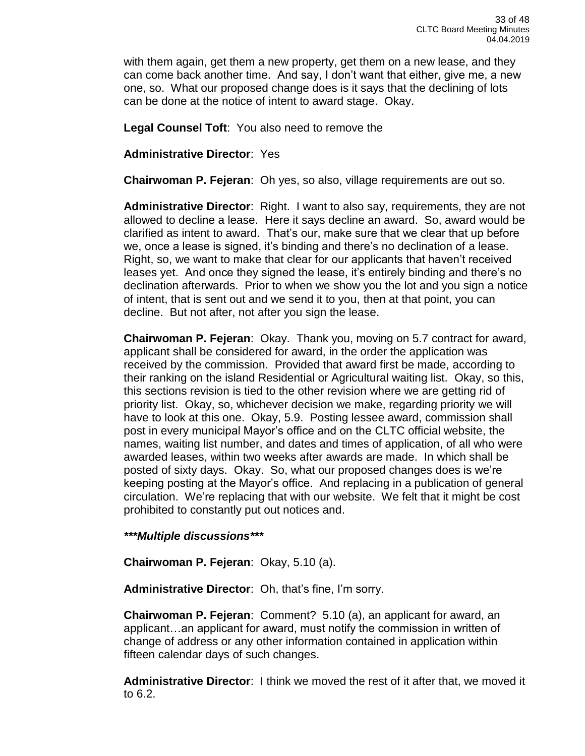with them again, get them a new property, get them on a new lease, and they can come back another time. And say, I don't want that either, give me, a new one, so. What our proposed change does is it says that the declining of lots can be done at the notice of intent to award stage. Okay.

**Legal Counsel Toft**: You also need to remove the

**Administrative Director**: Yes

**Chairwoman P. Fejeran**: Oh yes, so also, village requirements are out so.

**Administrative Director**: Right. I want to also say, requirements, they are not allowed to decline a lease. Here it says decline an award. So, award would be clarified as intent to award. That's our, make sure that we clear that up before we, once a lease is signed, it's binding and there's no declination of a lease. Right, so, we want to make that clear for our applicants that haven't received leases yet. And once they signed the lease, it's entirely binding and there's no declination afterwards. Prior to when we show you the lot and you sign a notice of intent, that is sent out and we send it to you, then at that point, you can decline. But not after, not after you sign the lease.

**Chairwoman P. Fejeran**: Okay. Thank you, moving on 5.7 contract for award, applicant shall be considered for award, in the order the application was received by the commission. Provided that award first be made, according to their ranking on the island Residential or Agricultural waiting list. Okay, so this, this sections revision is tied to the other revision where we are getting rid of priority list. Okay, so, whichever decision we make, regarding priority we will have to look at this one. Okay, 5.9. Posting lessee award, commission shall post in every municipal Mayor's office and on the CLTC official website, the names, waiting list number, and dates and times of application, of all who were awarded leases, within two weeks after awards are made. In which shall be posted of sixty days. Okay. So, what our proposed changes does is we're keeping posting at the Mayor's office. And replacing in a publication of general circulation. We're replacing that with our website. We felt that it might be cost prohibited to constantly put out notices and.

*\*\*\*Multiple discussions\*\*\**

**Chairwoman P. Fejeran**: Okay, 5.10 (a).

**Administrative Director**: Oh, that's fine, I'm sorry.

**Chairwoman P. Fejeran**: Comment? 5.10 (a), an applicant for award, an applicant…an applicant for award, must notify the commission in written of change of address or any other information contained in application within fifteen calendar days of such changes.

**Administrative Director**: I think we moved the rest of it after that, we moved it to 6.2.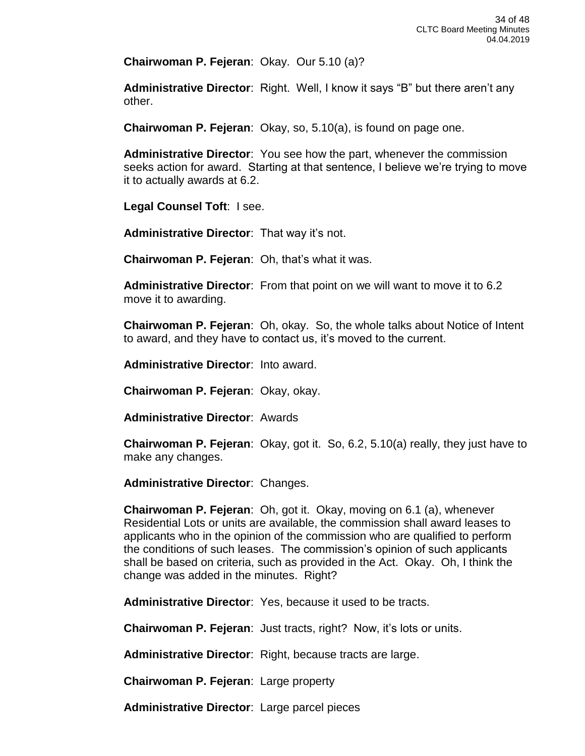**Chairwoman P. Fejeran**: Okay. Our 5.10 (a)?

**Administrative Director**: Right. Well, I know it says "B" but there aren't any other.

**Chairwoman P. Fejeran**: Okay, so, 5.10(a), is found on page one.

**Administrative Director**: You see how the part, whenever the commission seeks action for award. Starting at that sentence, I believe we're trying to move it to actually awards at 6.2.

**Legal Counsel Toft**: I see.

**Administrative Director**: That way it's not.

**Chairwoman P. Fejeran**: Oh, that's what it was.

**Administrative Director**: From that point on we will want to move it to 6.2 move it to awarding.

**Chairwoman P. Fejeran**: Oh, okay. So, the whole talks about Notice of Intent to award, and they have to contact us, it's moved to the current.

**Administrative Director**: Into award.

**Chairwoman P. Fejeran**: Okay, okay.

**Administrative Director**: Awards

**Chairwoman P. Fejeran**: Okay, got it. So, 6.2, 5.10(a) really, they just have to make any changes.

**Administrative Director**: Changes.

**Chairwoman P. Fejeran**: Oh, got it. Okay, moving on 6.1 (a), whenever Residential Lots or units are available, the commission shall award leases to applicants who in the opinion of the commission who are qualified to perform the conditions of such leases. The commission's opinion of such applicants shall be based on criteria, such as provided in the Act. Okay. Oh, I think the change was added in the minutes. Right?

**Administrative Director**: Yes, because it used to be tracts.

**Chairwoman P. Fejeran**: Just tracts, right? Now, it's lots or units.

**Administrative Director**: Right, because tracts are large.

**Chairwoman P. Fejeran**: Large property

**Administrative Director**: Large parcel pieces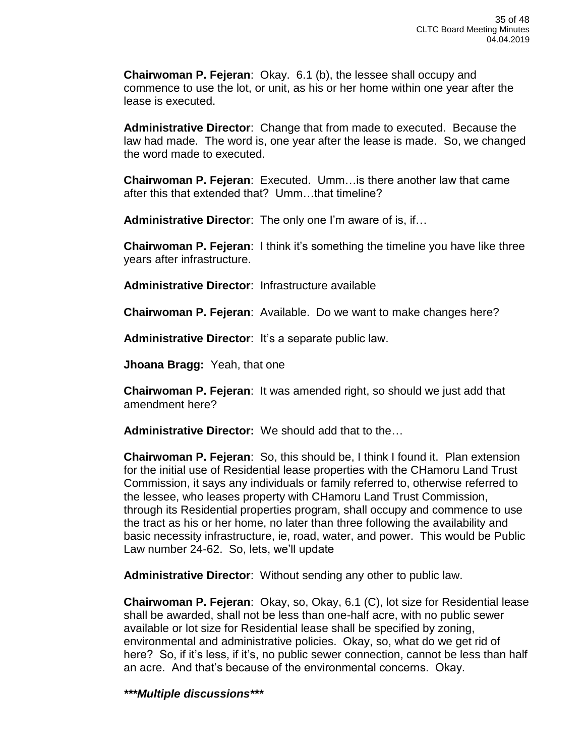**Chairwoman P. Fejeran**: Okay. 6.1 (b), the lessee shall occupy and commence to use the lot, or unit, as his or her home within one year after the lease is executed.

**Administrative Director**: Change that from made to executed. Because the law had made. The word is, one year after the lease is made. So, we changed the word made to executed.

**Chairwoman P. Fejeran**: Executed. Umm…is there another law that came after this that extended that? Umm…that timeline?

**Administrative Director**: The only one I'm aware of is, if…

**Chairwoman P. Fejeran**: I think it's something the timeline you have like three years after infrastructure.

**Administrative Director**: Infrastructure available

**Chairwoman P. Fejeran**: Available. Do we want to make changes here?

**Administrative Director**: It's a separate public law.

**Jhoana Bragg:** Yeah, that one

**Chairwoman P. Fejeran**: It was amended right, so should we just add that amendment here?

**Administrative Director:** We should add that to the…

**Chairwoman P. Fejeran**: So, this should be, I think I found it. Plan extension for the initial use of Residential lease properties with the CHamoru Land Trust Commission, it says any individuals or family referred to, otherwise referred to the lessee, who leases property with CHamoru Land Trust Commission, through its Residential properties program, shall occupy and commence to use the tract as his or her home, no later than three following the availability and basic necessity infrastructure, ie, road, water, and power. This would be Public Law number 24-62. So, lets, we'll update

**Administrative Director**: Without sending any other to public law.

**Chairwoman P. Fejeran**: Okay, so, Okay, 6.1 (C), lot size for Residential lease shall be awarded, shall not be less than one-half acre, with no public sewer available or lot size for Residential lease shall be specified by zoning, environmental and administrative policies. Okay, so, what do we get rid of here? So, if it's less, if it's, no public sewer connection, cannot be less than half an acre. And that's because of the environmental concerns. Okay.

*\*\*\*Multiple discussions\*\*\**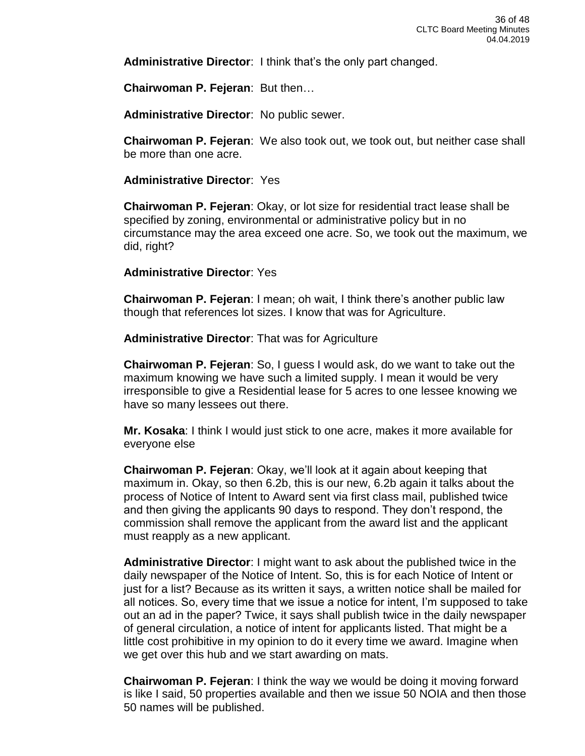**Administrative Director**: I think that's the only part changed.

**Chairwoman P. Fejeran**: But then…

**Administrative Director**: No public sewer.

**Chairwoman P. Fejeran**: We also took out, we took out, but neither case shall be more than one acre.

**Administrative Director**: Yes

**Chairwoman P. Fejeran**: Okay, or lot size for residential tract lease shall be specified by zoning, environmental or administrative policy but in no circumstance may the area exceed one acre. So, we took out the maximum, we did, right?

### **Administrative Director**: Yes

**Chairwoman P. Fejeran**: I mean; oh wait, I think there's another public law though that references lot sizes. I know that was for Agriculture.

**Administrative Director**: That was for Agriculture

**Chairwoman P. Fejeran**: So, I guess I would ask, do we want to take out the maximum knowing we have such a limited supply. I mean it would be very irresponsible to give a Residential lease for 5 acres to one lessee knowing we have so many lessees out there.

**Mr. Kosaka**: I think I would just stick to one acre, makes it more available for everyone else

**Chairwoman P. Fejeran**: Okay, we'll look at it again about keeping that maximum in. Okay, so then 6.2b, this is our new, 6.2b again it talks about the process of Notice of Intent to Award sent via first class mail, published twice and then giving the applicants 90 days to respond. They don't respond, the commission shall remove the applicant from the award list and the applicant must reapply as a new applicant.

**Administrative Director**: I might want to ask about the published twice in the daily newspaper of the Notice of Intent. So, this is for each Notice of Intent or just for a list? Because as its written it says, a written notice shall be mailed for all notices. So, every time that we issue a notice for intent, I'm supposed to take out an ad in the paper? Twice, it says shall publish twice in the daily newspaper of general circulation, a notice of intent for applicants listed. That might be a little cost prohibitive in my opinion to do it every time we award. Imagine when we get over this hub and we start awarding on mats.

**Chairwoman P. Fejeran**: I think the way we would be doing it moving forward is like I said, 50 properties available and then we issue 50 NOIA and then those 50 names will be published.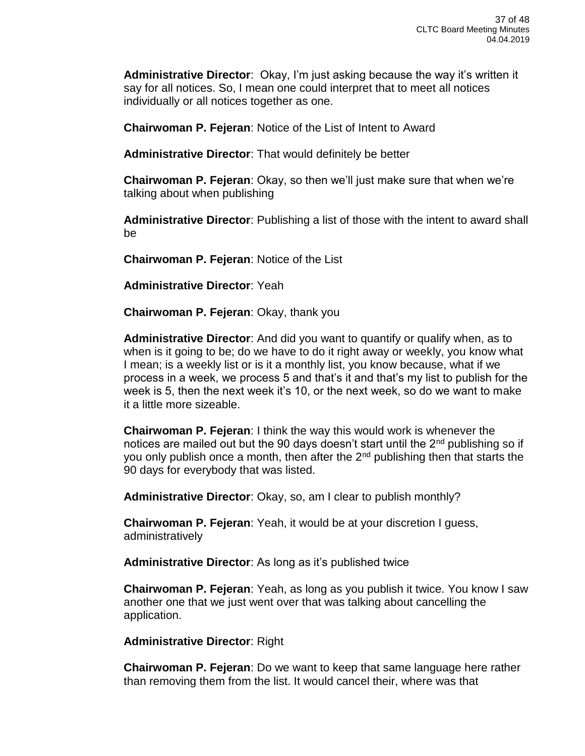**Administrative Director**: Okay, I'm just asking because the way it's written it say for all notices. So, I mean one could interpret that to meet all notices individually or all notices together as one.

**Chairwoman P. Fejeran**: Notice of the List of Intent to Award

**Administrative Director**: That would definitely be better

**Chairwoman P. Fejeran**: Okay, so then we'll just make sure that when we're talking about when publishing

**Administrative Director**: Publishing a list of those with the intent to award shall be

**Chairwoman P. Fejeran**: Notice of the List

**Administrative Director**: Yeah

**Chairwoman P. Fejeran**: Okay, thank you

**Administrative Director**: And did you want to quantify or qualify when, as to when is it going to be; do we have to do it right away or weekly, you know what I mean; is a weekly list or is it a monthly list, you know because, what if we process in a week, we process 5 and that's it and that's my list to publish for the week is 5, then the next week it's 10, or the next week, so do we want to make it a little more sizeable.

**Chairwoman P. Fejeran**: I think the way this would work is whenever the notices are mailed out but the 90 days doesn't start until the  $2<sup>nd</sup>$  publishing so if you only publish once a month, then after the  $2<sup>nd</sup>$  publishing then that starts the 90 days for everybody that was listed.

**Administrative Director**: Okay, so, am I clear to publish monthly?

**Chairwoman P. Fejeran**: Yeah, it would be at your discretion I guess, administratively

**Administrative Director**: As long as it's published twice

**Chairwoman P. Fejeran**: Yeah, as long as you publish it twice. You know I saw another one that we just went over that was talking about cancelling the application.

**Administrative Director**: Right

**Chairwoman P. Fejeran**: Do we want to keep that same language here rather than removing them from the list. It would cancel their, where was that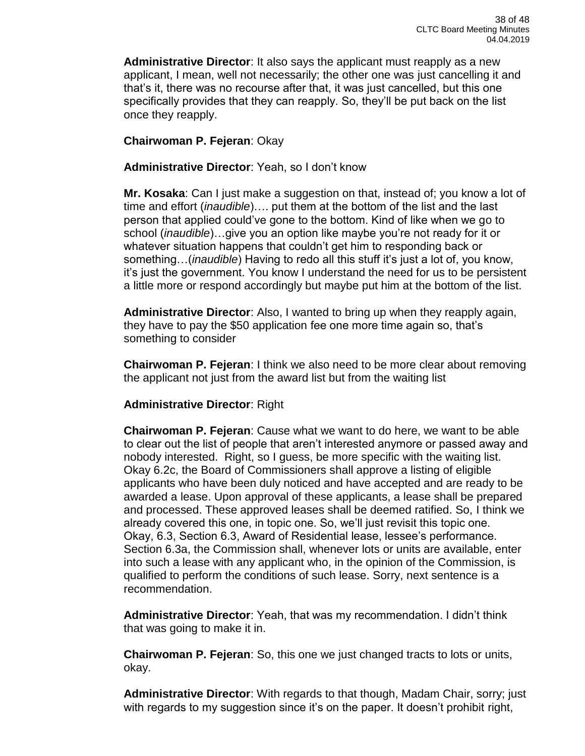**Administrative Director**: It also says the applicant must reapply as a new applicant, I mean, well not necessarily; the other one was just cancelling it and that's it, there was no recourse after that, it was just cancelled, but this one specifically provides that they can reapply. So, they'll be put back on the list once they reapply.

# **Chairwoman P. Fejeran**: Okay

# **Administrative Director**: Yeah, so I don't know

**Mr. Kosaka**: Can I just make a suggestion on that, instead of; you know a lot of time and effort (*inaudible*)…. put them at the bottom of the list and the last person that applied could've gone to the bottom. Kind of like when we go to school (*inaudible*)…give you an option like maybe you're not ready for it or whatever situation happens that couldn't get him to responding back or something…(*inaudible*) Having to redo all this stuff it's just a lot of, you know, it's just the government. You know I understand the need for us to be persistent a little more or respond accordingly but maybe put him at the bottom of the list.

**Administrative Director**: Also, I wanted to bring up when they reapply again, they have to pay the \$50 application fee one more time again so, that's something to consider

**Chairwoman P. Fejeran**: I think we also need to be more clear about removing the applicant not just from the award list but from the waiting list

## **Administrative Director**: Right

**Chairwoman P. Fejeran**: Cause what we want to do here, we want to be able to clear out the list of people that aren't interested anymore or passed away and nobody interested. Right, so I guess, be more specific with the waiting list. Okay 6.2c, the Board of Commissioners shall approve a listing of eligible applicants who have been duly noticed and have accepted and are ready to be awarded a lease. Upon approval of these applicants, a lease shall be prepared and processed. These approved leases shall be deemed ratified. So, I think we already covered this one, in topic one. So, we'll just revisit this topic one. Okay, 6.3, Section 6.3, Award of Residential lease, lessee's performance. Section 6.3a, the Commission shall, whenever lots or units are available, enter into such a lease with any applicant who, in the opinion of the Commission, is qualified to perform the conditions of such lease. Sorry, next sentence is a recommendation.

**Administrative Director**: Yeah, that was my recommendation. I didn't think that was going to make it in.

**Chairwoman P. Fejeran**: So, this one we just changed tracts to lots or units, okay.

**Administrative Director**: With regards to that though, Madam Chair, sorry; just with regards to my suggestion since it's on the paper. It doesn't prohibit right,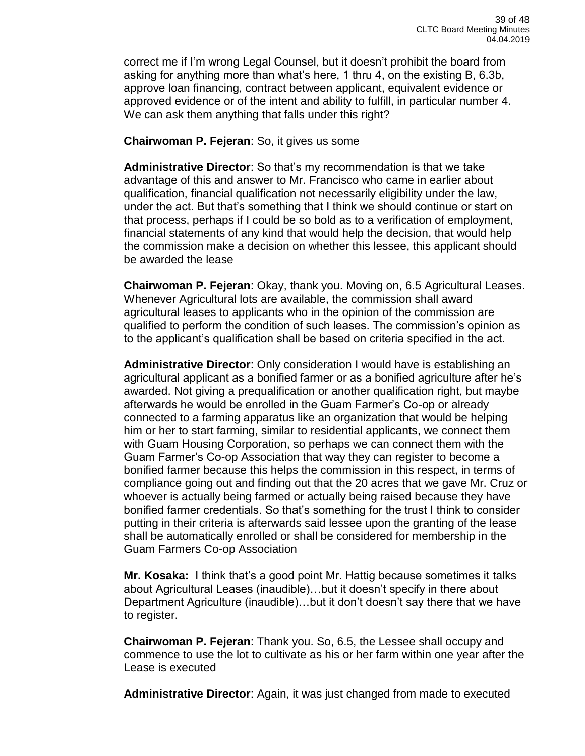correct me if I'm wrong Legal Counsel, but it doesn't prohibit the board from asking for anything more than what's here, 1 thru 4, on the existing B, 6.3b, approve loan financing, contract between applicant, equivalent evidence or approved evidence or of the intent and ability to fulfill, in particular number 4. We can ask them anything that falls under this right?

## **Chairwoman P. Fejeran**: So, it gives us some

**Administrative Director**: So that's my recommendation is that we take advantage of this and answer to Mr. Francisco who came in earlier about qualification, financial qualification not necessarily eligibility under the law, under the act. But that's something that I think we should continue or start on that process, perhaps if I could be so bold as to a verification of employment, financial statements of any kind that would help the decision, that would help the commission make a decision on whether this lessee, this applicant should be awarded the lease

**Chairwoman P. Fejeran**: Okay, thank you. Moving on, 6.5 Agricultural Leases. Whenever Agricultural lots are available, the commission shall award agricultural leases to applicants who in the opinion of the commission are qualified to perform the condition of such leases. The commission's opinion as to the applicant's qualification shall be based on criteria specified in the act.

**Administrative Director**: Only consideration I would have is establishing an agricultural applicant as a bonified farmer or as a bonified agriculture after he's awarded. Not giving a prequalification or another qualification right, but maybe afterwards he would be enrolled in the Guam Farmer's Co-op or already connected to a farming apparatus like an organization that would be helping him or her to start farming, similar to residential applicants, we connect them with Guam Housing Corporation, so perhaps we can connect them with the Guam Farmer's Co-op Association that way they can register to become a bonified farmer because this helps the commission in this respect, in terms of compliance going out and finding out that the 20 acres that we gave Mr. Cruz or whoever is actually being farmed or actually being raised because they have bonified farmer credentials. So that's something for the trust I think to consider putting in their criteria is afterwards said lessee upon the granting of the lease shall be automatically enrolled or shall be considered for membership in the Guam Farmers Co-op Association

**Mr. Kosaka:** I think that's a good point Mr. Hattig because sometimes it talks about Agricultural Leases (inaudible)…but it doesn't specify in there about Department Agriculture (inaudible)…but it don't doesn't say there that we have to register.

**Chairwoman P. Fejeran**: Thank you. So, 6.5, the Lessee shall occupy and commence to use the lot to cultivate as his or her farm within one year after the Lease is executed

**Administrative Director**: Again, it was just changed from made to executed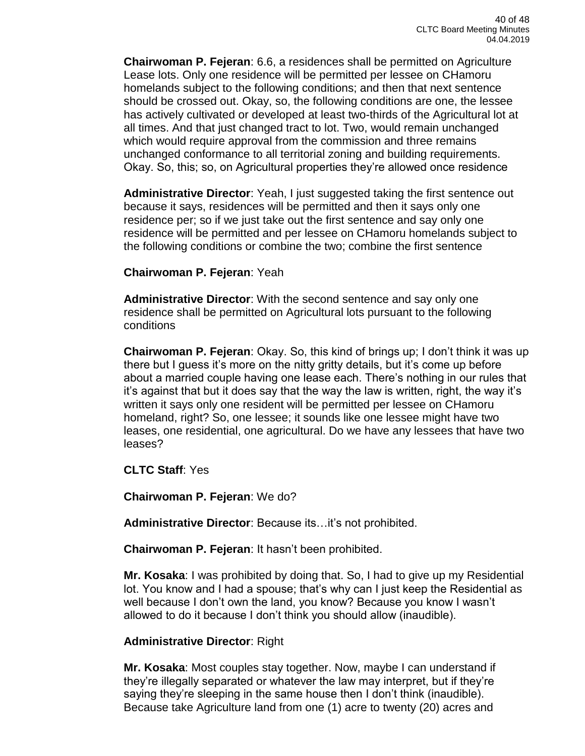**Chairwoman P. Fejeran**: 6.6, a residences shall be permitted on Agriculture Lease lots. Only one residence will be permitted per lessee on CHamoru homelands subject to the following conditions; and then that next sentence should be crossed out. Okay, so, the following conditions are one, the lessee has actively cultivated or developed at least two-thirds of the Agricultural lot at all times. And that just changed tract to lot. Two, would remain unchanged which would require approval from the commission and three remains unchanged conformance to all territorial zoning and building requirements. Okay. So, this; so, on Agricultural properties they're allowed once residence

**Administrative Director**: Yeah, I just suggested taking the first sentence out because it says, residences will be permitted and then it says only one residence per; so if we just take out the first sentence and say only one residence will be permitted and per lessee on CHamoru homelands subject to the following conditions or combine the two; combine the first sentence

### **Chairwoman P. Fejeran**: Yeah

**Administrative Director**: With the second sentence and say only one residence shall be permitted on Agricultural lots pursuant to the following conditions

**Chairwoman P. Fejeran**: Okay. So, this kind of brings up; I don't think it was up there but I guess it's more on the nitty gritty details, but it's come up before about a married couple having one lease each. There's nothing in our rules that it's against that but it does say that the way the law is written, right, the way it's written it says only one resident will be permitted per lessee on CHamoru homeland, right? So, one lessee; it sounds like one lessee might have two leases, one residential, one agricultural. Do we have any lessees that have two leases?

**CLTC Staff**: Yes

**Chairwoman P. Fejeran**: We do?

**Administrative Director**: Because its…it's not prohibited.

**Chairwoman P. Fejeran**: It hasn't been prohibited.

**Mr. Kosaka**: I was prohibited by doing that. So, I had to give up my Residential lot. You know and I had a spouse; that's why can I just keep the Residential as well because I don't own the land, you know? Because you know I wasn't allowed to do it because I don't think you should allow (inaudible).

## **Administrative Director**: Right

**Mr. Kosaka**: Most couples stay together. Now, maybe I can understand if they're illegally separated or whatever the law may interpret, but if they're saying they're sleeping in the same house then I don't think (inaudible). Because take Agriculture land from one (1) acre to twenty (20) acres and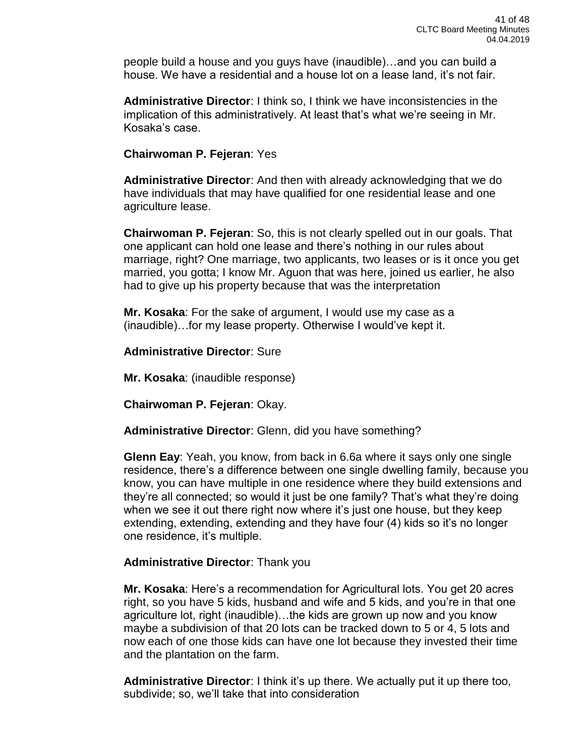people build a house and you guys have (inaudible)…and you can build a house. We have a residential and a house lot on a lease land, it's not fair.

**Administrative Director**: I think so, I think we have inconsistencies in the implication of this administratively. At least that's what we're seeing in Mr. Kosaka's case.

### **Chairwoman P. Fejeran**: Yes

**Administrative Director**: And then with already acknowledging that we do have individuals that may have qualified for one residential lease and one agriculture lease.

**Chairwoman P. Fejeran**: So, this is not clearly spelled out in our goals. That one applicant can hold one lease and there's nothing in our rules about marriage, right? One marriage, two applicants, two leases or is it once you get married, you gotta; I know Mr. Aguon that was here, joined us earlier, he also had to give up his property because that was the interpretation

**Mr. Kosaka**: For the sake of argument, I would use my case as a (inaudible)…for my lease property. Otherwise I would've kept it.

**Administrative Director**: Sure

**Mr. Kosaka**: (inaudible response)

**Chairwoman P. Fejeran**: Okay.

**Administrative Director**: Glenn, did you have something?

**Glenn Eay**: Yeah, you know, from back in 6.6a where it says only one single residence, there's a difference between one single dwelling family, because you know, you can have multiple in one residence where they build extensions and they're all connected; so would it just be one family? That's what they're doing when we see it out there right now where it's just one house, but they keep extending, extending, extending and they have four (4) kids so it's no longer one residence, it's multiple.

## **Administrative Director**: Thank you

**Mr. Kosaka**: Here's a recommendation for Agricultural lots. You get 20 acres right, so you have 5 kids, husband and wife and 5 kids, and you're in that one agriculture lot, right (inaudible)…the kids are grown up now and you know maybe a subdivision of that 20 lots can be tracked down to 5 or 4, 5 lots and now each of one those kids can have one lot because they invested their time and the plantation on the farm.

**Administrative Director**: I think it's up there. We actually put it up there too, subdivide; so, we'll take that into consideration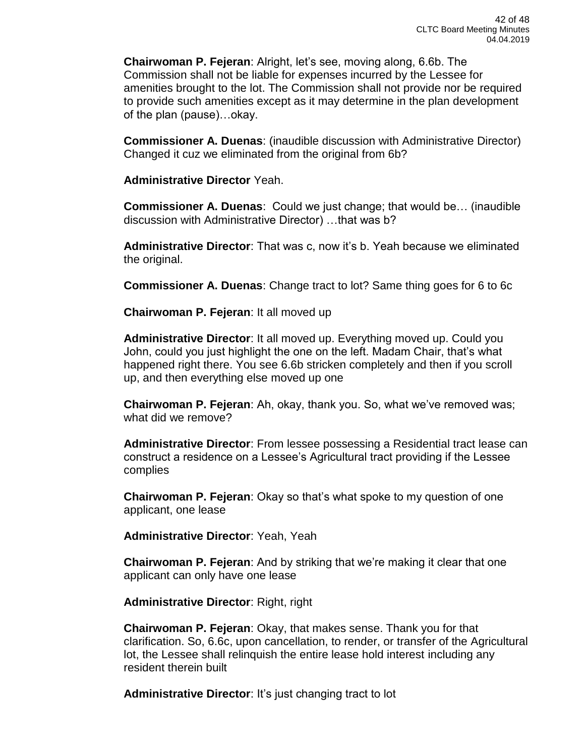**Chairwoman P. Fejeran**: Alright, let's see, moving along, 6.6b. The Commission shall not be liable for expenses incurred by the Lessee for amenities brought to the lot. The Commission shall not provide nor be required to provide such amenities except as it may determine in the plan development of the plan (pause)…okay.

**Commissioner A. Duenas**: (inaudible discussion with Administrative Director) Changed it cuz we eliminated from the original from 6b?

**Administrative Director** Yeah.

**Commissioner A. Duenas**: Could we just change; that would be… (inaudible discussion with Administrative Director) …that was b?

**Administrative Director**: That was c, now it's b. Yeah because we eliminated the original.

**Commissioner A. Duenas**: Change tract to lot? Same thing goes for 6 to 6c

**Chairwoman P. Fejeran**: It all moved up

**Administrative Director**: It all moved up. Everything moved up. Could you John, could you just highlight the one on the left. Madam Chair, that's what happened right there. You see 6.6b stricken completely and then if you scroll up, and then everything else moved up one

**Chairwoman P. Fejeran**: Ah, okay, thank you. So, what we've removed was; what did we remove?

**Administrative Director**: From lessee possessing a Residential tract lease can construct a residence on a Lessee's Agricultural tract providing if the Lessee complies

**Chairwoman P. Fejeran**: Okay so that's what spoke to my question of one applicant, one lease

**Administrative Director**: Yeah, Yeah

**Chairwoman P. Fejeran**: And by striking that we're making it clear that one applicant can only have one lease

**Administrative Director**: Right, right

**Chairwoman P. Fejeran**: Okay, that makes sense. Thank you for that clarification. So, 6.6c, upon cancellation, to render, or transfer of the Agricultural lot, the Lessee shall relinquish the entire lease hold interest including any resident therein built

**Administrative Director**: It's just changing tract to lot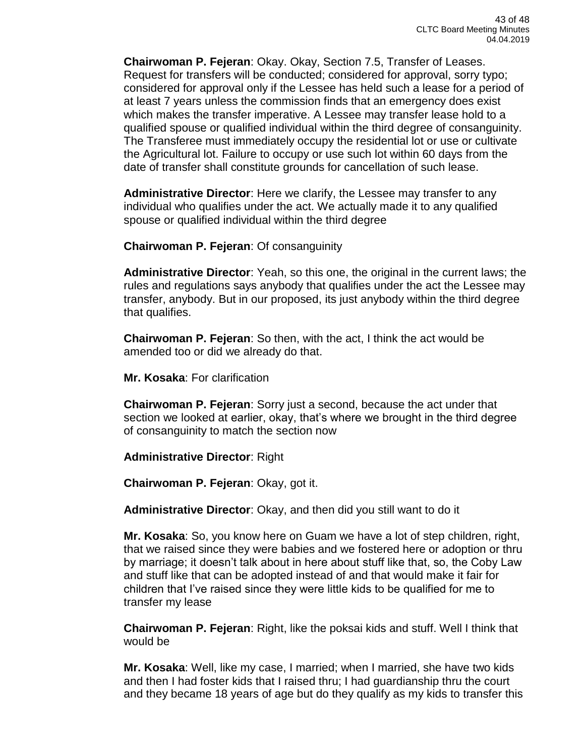**Chairwoman P. Fejeran**: Okay. Okay, Section 7.5, Transfer of Leases. Request for transfers will be conducted; considered for approval, sorry typo; considered for approval only if the Lessee has held such a lease for a period of at least 7 years unless the commission finds that an emergency does exist which makes the transfer imperative. A Lessee may transfer lease hold to a qualified spouse or qualified individual within the third degree of consanguinity. The Transferee must immediately occupy the residential lot or use or cultivate the Agricultural lot. Failure to occupy or use such lot within 60 days from the date of transfer shall constitute grounds for cancellation of such lease.

**Administrative Director**: Here we clarify, the Lessee may transfer to any individual who qualifies under the act. We actually made it to any qualified spouse or qualified individual within the third degree

**Chairwoman P. Fejeran**: Of consanguinity

**Administrative Director**: Yeah, so this one, the original in the current laws; the rules and regulations says anybody that qualifies under the act the Lessee may transfer, anybody. But in our proposed, its just anybody within the third degree that qualifies.

**Chairwoman P. Fejeran**: So then, with the act, I think the act would be amended too or did we already do that.

**Mr. Kosaka**: For clarification

**Chairwoman P. Fejeran**: Sorry just a second, because the act under that section we looked at earlier, okay, that's where we brought in the third degree of consanguinity to match the section now

**Administrative Director**: Right

**Chairwoman P. Fejeran**: Okay, got it.

**Administrative Director**: Okay, and then did you still want to do it

**Mr. Kosaka**: So, you know here on Guam we have a lot of step children, right, that we raised since they were babies and we fostered here or adoption or thru by marriage; it doesn't talk about in here about stuff like that, so, the Coby Law and stuff like that can be adopted instead of and that would make it fair for children that I've raised since they were little kids to be qualified for me to transfer my lease

**Chairwoman P. Fejeran**: Right, like the poksai kids and stuff. Well I think that would be

**Mr. Kosaka**: Well, like my case, I married; when I married, she have two kids and then I had foster kids that I raised thru; I had guardianship thru the court and they became 18 years of age but do they qualify as my kids to transfer this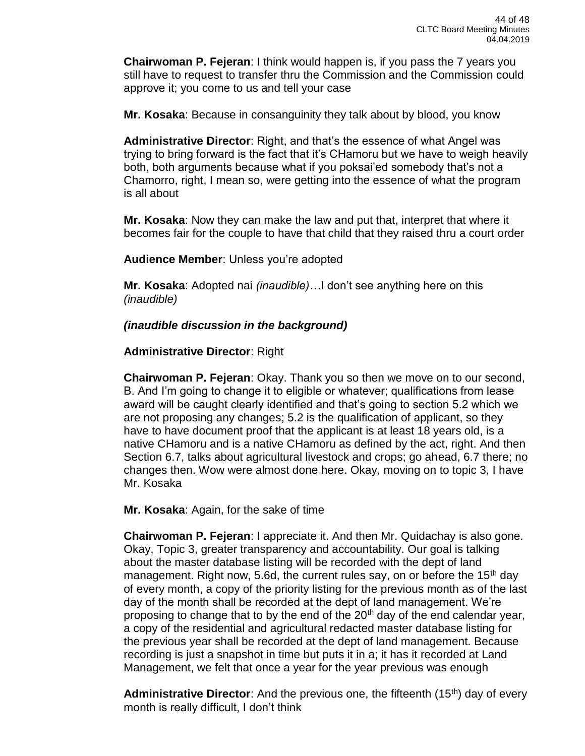**Chairwoman P. Fejeran**: I think would happen is, if you pass the 7 years you still have to request to transfer thru the Commission and the Commission could approve it; you come to us and tell your case

**Mr. Kosaka**: Because in consanguinity they talk about by blood, you know

**Administrative Director**: Right, and that's the essence of what Angel was trying to bring forward is the fact that it's CHamoru but we have to weigh heavily both, both arguments because what if you poksai'ed somebody that's not a Chamorro, right, I mean so, were getting into the essence of what the program is all about

**Mr. Kosaka**: Now they can make the law and put that, interpret that where it becomes fair for the couple to have that child that they raised thru a court order

**Audience Member**: Unless you're adopted

**Mr. Kosaka**: Adopted nai *(inaudible)…*I don't see anything here on this *(inaudible)*

*(inaudible discussion in the background)*

### **Administrative Director**: Right

**Chairwoman P. Fejeran**: Okay. Thank you so then we move on to our second, B. And I'm going to change it to eligible or whatever; qualifications from lease award will be caught clearly identified and that's going to section 5.2 which we are not proposing any changes; 5.2 is the qualification of applicant, so they have to have document proof that the applicant is at least 18 years old, is a native CHamoru and is a native CHamoru as defined by the act, right. And then Section 6.7, talks about agricultural livestock and crops; go ahead, 6.7 there; no changes then. Wow were almost done here. Okay, moving on to topic 3, I have Mr. Kosaka

**Mr. Kosaka**: Again, for the sake of time

**Chairwoman P. Fejeran**: I appreciate it. And then Mr. Quidachay is also gone. Okay, Topic 3, greater transparency and accountability. Our goal is talking about the master database listing will be recorded with the dept of land management. Right now, 5.6d, the current rules say, on or before the 15<sup>th</sup> day of every month, a copy of the priority listing for the previous month as of the last day of the month shall be recorded at the dept of land management. We're proposing to change that to by the end of the  $20<sup>th</sup>$  day of the end calendar year, a copy of the residential and agricultural redacted master database listing for the previous year shall be recorded at the dept of land management. Because recording is just a snapshot in time but puts it in a; it has it recorded at Land Management, we felt that once a year for the year previous was enough

**Administrative Director**: And the previous one, the fifteenth (15<sup>th</sup>) day of every month is really difficult, I don't think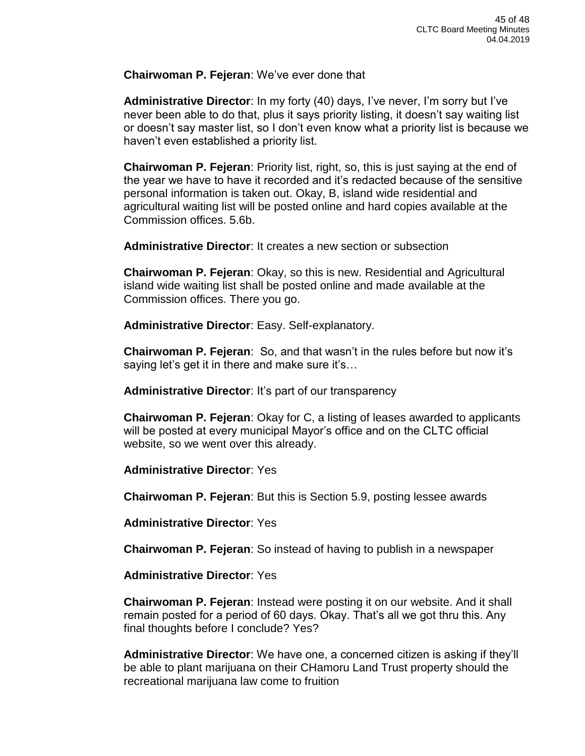### **Chairwoman P. Fejeran**: We've ever done that

**Administrative Director**: In my forty (40) days, I've never, I'm sorry but I've never been able to do that, plus it says priority listing, it doesn't say waiting list or doesn't say master list, so I don't even know what a priority list is because we haven't even established a priority list.

**Chairwoman P. Fejeran**: Priority list, right, so, this is just saying at the end of the year we have to have it recorded and it's redacted because of the sensitive personal information is taken out. Okay, B, island wide residential and agricultural waiting list will be posted online and hard copies available at the Commission offices. 5.6b.

**Administrative Director**: It creates a new section or subsection

**Chairwoman P. Fejeran**: Okay, so this is new. Residential and Agricultural island wide waiting list shall be posted online and made available at the Commission offices. There you go.

**Administrative Director**: Easy. Self-explanatory.

**Chairwoman P. Fejeran**: So, and that wasn't in the rules before but now it's saying let's get it in there and make sure it's…

**Administrative Director**: It's part of our transparency

**Chairwoman P. Fejeran**: Okay for C, a listing of leases awarded to applicants will be posted at every municipal Mayor's office and on the CLTC official website, so we went over this already.

**Administrative Director**: Yes

**Chairwoman P. Fejeran**: But this is Section 5.9, posting lessee awards

**Administrative Director**: Yes

**Chairwoman P. Fejeran**: So instead of having to publish in a newspaper

**Administrative Director**: Yes

**Chairwoman P. Fejeran**: Instead were posting it on our website. And it shall remain posted for a period of 60 days. Okay. That's all we got thru this. Any final thoughts before I conclude? Yes?

**Administrative Director**: We have one, a concerned citizen is asking if they'll be able to plant marijuana on their CHamoru Land Trust property should the recreational marijuana law come to fruition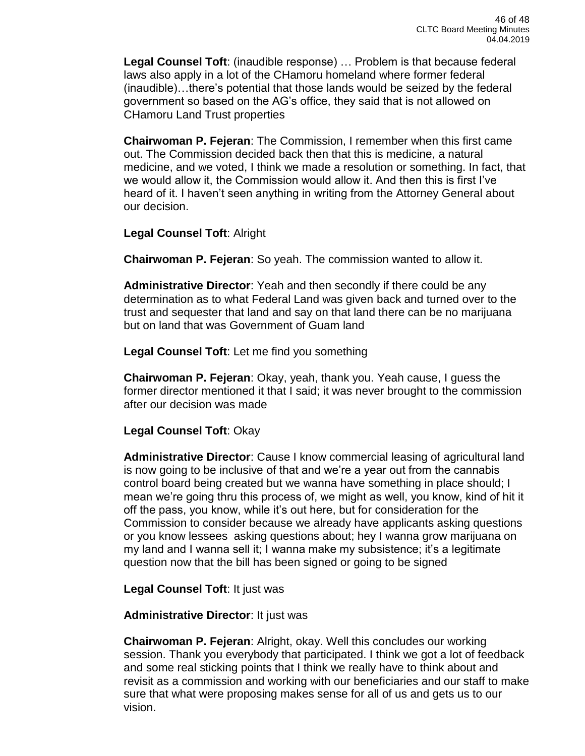**Legal Counsel Toft**: (inaudible response) … Problem is that because federal laws also apply in a lot of the CHamoru homeland where former federal (inaudible)…there's potential that those lands would be seized by the federal government so based on the AG's office, they said that is not allowed on CHamoru Land Trust properties

**Chairwoman P. Fejeran**: The Commission, I remember when this first came out. The Commission decided back then that this is medicine, a natural medicine, and we voted, I think we made a resolution or something. In fact, that we would allow it, the Commission would allow it. And then this is first I've heard of it. I haven't seen anything in writing from the Attorney General about our decision.

**Legal Counsel Toft**: Alright

**Chairwoman P. Fejeran**: So yeah. The commission wanted to allow it.

**Administrative Director**: Yeah and then secondly if there could be any determination as to what Federal Land was given back and turned over to the trust and sequester that land and say on that land there can be no marijuana but on land that was Government of Guam land

**Legal Counsel Toft**: Let me find you something

**Chairwoman P. Fejeran**: Okay, yeah, thank you. Yeah cause, I guess the former director mentioned it that I said; it was never brought to the commission after our decision was made

**Legal Counsel Toft**: Okay

**Administrative Director**: Cause I know commercial leasing of agricultural land is now going to be inclusive of that and we're a year out from the cannabis control board being created but we wanna have something in place should; I mean we're going thru this process of, we might as well, you know, kind of hit it off the pass, you know, while it's out here, but for consideration for the Commission to consider because we already have applicants asking questions or you know lessees asking questions about; hey I wanna grow marijuana on my land and I wanna sell it; I wanna make my subsistence; it's a legitimate question now that the bill has been signed or going to be signed

**Legal Counsel Toft**: It just was

**Administrative Director**: It just was

**Chairwoman P. Fejeran**: Alright, okay. Well this concludes our working session. Thank you everybody that participated. I think we got a lot of feedback and some real sticking points that I think we really have to think about and revisit as a commission and working with our beneficiaries and our staff to make sure that what were proposing makes sense for all of us and gets us to our vision.